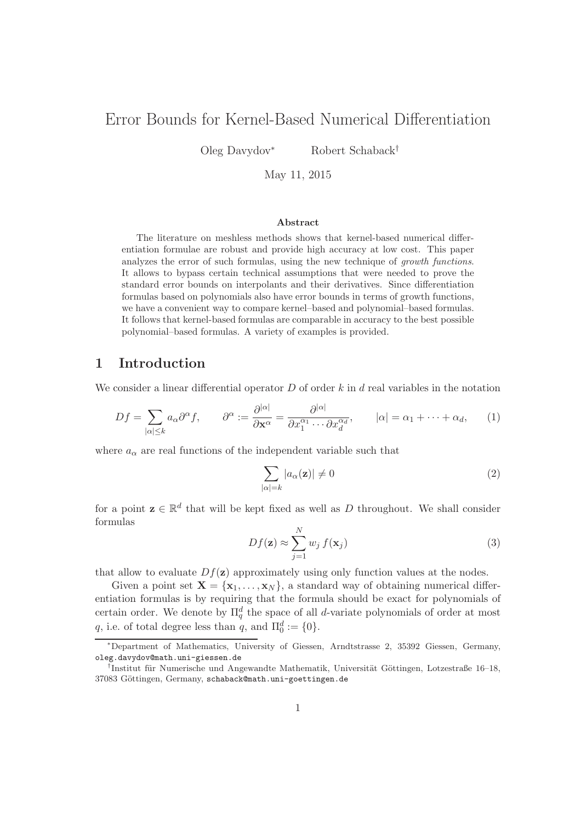# Error Bounds for Kernel-Based Numerical Differentiation

Oleg Davydov<sup>∗</sup> Robert Schaback†

May 11, 2015

#### Abstract

The literature on meshless methods shows that kernel-based numerical differentiation formulae are robust and provide high accuracy at low cost. This paper analyzes the error of such formulas, using the new technique of growth functions. It allows to bypass certain technical assumptions that were needed to prove the standard error bounds on interpolants and their derivatives. Since differentiation formulas based on polynomials also have error bounds in terms of growth functions, we have a convenient way to compare kernel–based and polynomial–based formulas. It follows that kernel-based formulas are comparable in accuracy to the best possible polynomial–based formulas. A variety of examples is provided.

#### 1 Introduction

We consider a linear differential operator  $D$  of order k in d real variables in the notation

$$
Df = \sum_{|\alpha| \le k} a_{\alpha} \partial^{\alpha} f, \qquad \partial^{\alpha} := \frac{\partial^{|\alpha|}}{\partial \mathbf{x}^{\alpha}} = \frac{\partial^{|\alpha|}}{\partial x_1^{\alpha_1} \cdots \partial x_d^{\alpha_d}}, \qquad |\alpha| = \alpha_1 + \cdots + \alpha_d, \qquad (1)
$$

where  $a_{\alpha}$  are real functions of the independent variable such that

$$
\sum_{|\alpha|=k} |a_{\alpha}(\mathbf{z})| \neq 0 \tag{2}
$$

for a point  $z \in \mathbb{R}^d$  that will be kept fixed as well as D throughout. We shall consider formulas

$$
Df(\mathbf{z}) \approx \sum_{j=1}^{N} w_j f(\mathbf{x}_j)
$$
\n(3)

that allow to evaluate  $Df(\mathbf{z})$  approximately using only function values at the nodes.

Given a point set  $\mathbf{X} = {\mathbf{x}_1, \dots, \mathbf{x}_N}$ , a standard way of obtaining numerical differentiation formulas is by requiring that the formula should be exact for polynomials of certain order. We denote by  $\Pi_q^d$  the space of all d-variate polynomials of order at most q, i.e. of total degree less than q, and  $\Pi_0^d := \{0\}.$ 

<sup>∗</sup>Department of Mathematics, University of Giessen, Arndtstrasse 2, 35392 Giessen, Germany, oleg.davydov@math.uni-giessen.de

<sup>&</sup>lt;sup>†</sup>Institut für Numerische und Angewandte Mathematik, Universität Göttingen, Lotzestraße 16–18, 37083 Göttingen, Germany, schaback@math.uni-goettingen.de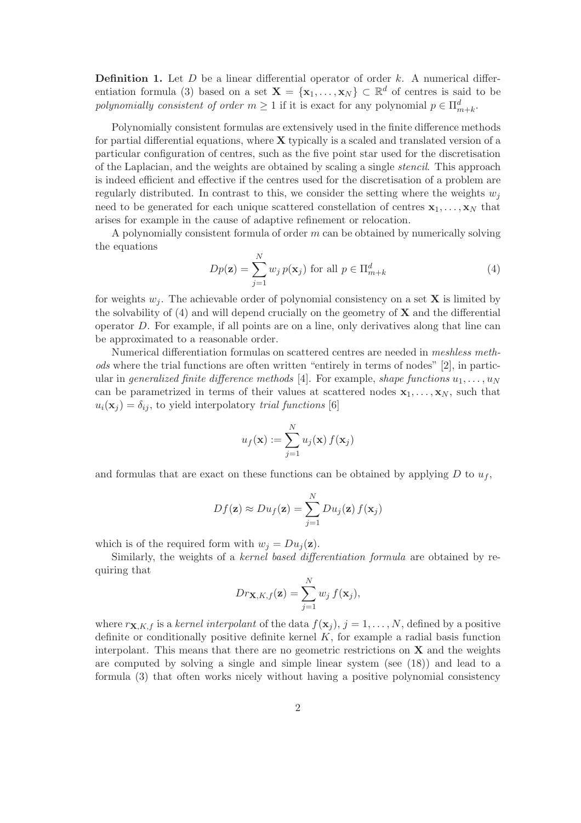**Definition 1.** Let  $D$  be a linear differential operator of order  $k$ . A numerical differentiation formula (3) based on a set  $\mathbf{X} = \{x_1, \ldots, x_N\} \subset \mathbb{R}^d$  of centres is said to be polynomially consistent of order  $m \geq 1$  if it is exact for any polynomial  $p \in \prod_{m+k}^d$ .

Polynomially consistent formulas are extensively used in the finite difference methods for partial differential equations, where  $X$  typically is a scaled and translated version of a particular configuration of centres, such as the five point star used for the discretisation of the Laplacian, and the weights are obtained by scaling a single stencil. This approach is indeed efficient and effective if the centres used for the discretisation of a problem are regularly distributed. In contrast to this, we consider the setting where the weights  $w_i$ need to be generated for each unique scattered constellation of centres  $x_1, \ldots, x_N$  that arises for example in the cause of adaptive refinement or relocation.

A polynomially consistent formula of order m can be obtained by numerically solving the equations

$$
Dp(\mathbf{z}) = \sum_{j=1}^{N} w_j p(\mathbf{x}_j) \text{ for all } p \in \Pi_{m+k}^d
$$
 (4)

for weights  $w_i$ . The achievable order of polynomial consistency on a set **X** is limited by the solvability of  $(4)$  and will depend crucially on the geometry of **X** and the differential operator D. For example, if all points are on a line, only derivatives along that line can be approximated to a reasonable order.

Numerical differentiation formulas on scattered centres are needed in meshless methods where the trial functions are often written "entirely in terms of nodes" [2], in particular in generalized finite difference methods [4]. For example, shape functions  $u_1, \ldots, u_N$ can be parametrized in terms of their values at scattered nodes  $x_1, \ldots, x_N$ , such that  $u_i(\mathbf{x}_j) = \delta_{ij}$ , to yield interpolatory trial functions [6]

$$
u_f(\mathbf{x}) := \sum_{j=1}^N u_j(\mathbf{x}) f(\mathbf{x}_j)
$$

and formulas that are exact on these functions can be obtained by applying  $D$  to  $u_f$ ,

$$
Df(\mathbf{z}) \approx Du_f(\mathbf{z}) = \sum_{j=1}^N Du_j(\mathbf{z}) f(\mathbf{x}_j)
$$

which is of the required form with  $w_i = Du_i(\mathbf{z})$ .

Similarly, the weights of a kernel based differentiation formula are obtained by requiring that

$$
Dr_{\mathbf{X},K,f}(\mathbf{z}) = \sum_{j=1}^{N} w_j f(\mathbf{x}_j),
$$

where  $r_{\mathbf{X},K,f}$  is a kernel interpolant of the data  $f(\mathbf{x}_i)$ ,  $j = 1, \ldots, N$ , defined by a positive definite or conditionally positive definite kernel  $K$ , for example a radial basis function interpolant. This means that there are no geometric restrictions on  $X$  and the weights are computed by solving a single and simple linear system (see (18)) and lead to a formula (3) that often works nicely without having a positive polynomial consistency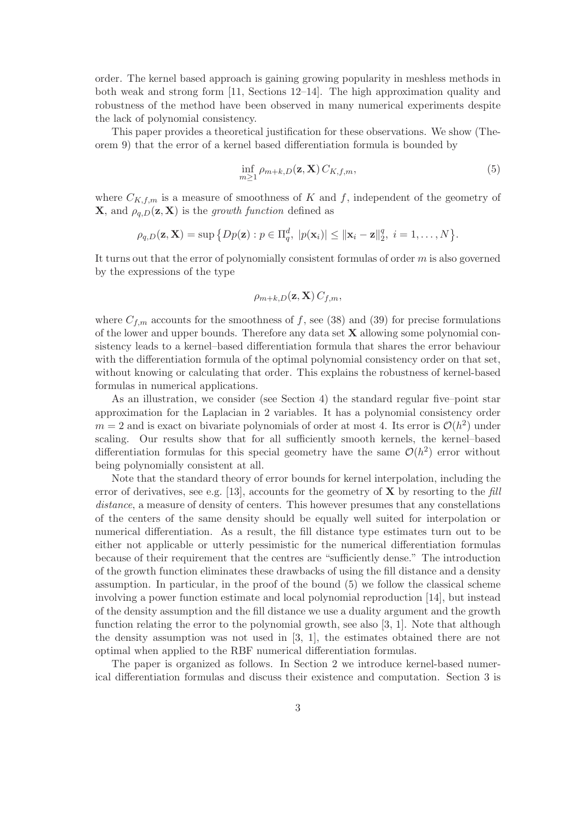order. The kernel based approach is gaining growing popularity in meshless methods in both weak and strong form [11, Sections 12–14]. The high approximation quality and robustness of the method have been observed in many numerical experiments despite the lack of polynomial consistency.

This paper provides a theoretical justification for these observations. We show (Theorem 9) that the error of a kernel based differentiation formula is bounded by

$$
\inf_{m\geq 1} \rho_{m+k,D}(\mathbf{z}, \mathbf{X}) C_{K,f,m},\tag{5}
$$

where  $C_{K,f,m}$  is a measure of smoothness of K and f, independent of the geometry of **X**, and  $\rho_{a,D}(\mathbf{z}, \mathbf{X})$  is the growth function defined as

$$
\rho_{q,D}(\mathbf{z}, \mathbf{X}) = \sup \big\{ Dp(\mathbf{z}) : p \in \Pi_q^d, \ |p(\mathbf{x}_i)| \leq ||\mathbf{x}_i - \mathbf{z}||_2^q, \ i = 1, \dots, N \big\}.
$$

It turns out that the error of polynomially consistent formulas of order  $m$  is also governed by the expressions of the type

$$
\rho_{m+k,D}(\mathbf{z}, \mathbf{X}) C_{f,m},
$$

where  $C_{f,m}$  accounts for the smoothness of f, see (38) and (39) for precise formulations of the lower and upper bounds. Therefore any data set  $X$  allowing some polynomial consistency leads to a kernel–based differentiation formula that shares the error behaviour with the differentiation formula of the optimal polynomial consistency order on that set, without knowing or calculating that order. This explains the robustness of kernel-based formulas in numerical applications.

As an illustration, we consider (see Section 4) the standard regular five–point star approximation for the Laplacian in 2 variables. It has a polynomial consistency order  $m = 2$  and is exact on bivariate polynomials of order at most 4. Its error is  $\mathcal{O}(h^2)$  under scaling. Our results show that for all sufficiently smooth kernels, the kernel-based differentiation formulas for this special geometry have the same  $\mathcal{O}(h^2)$  error without being polynomially consistent at all.

Note that the standard theory of error bounds for kernel interpolation, including the error of derivatives, see e.g. [13], accounts for the geometry of  $X$  by resorting to the fill distance, a measure of density of centers. This however presumes that any constellations of the centers of the same density should be equally well suited for interpolation or numerical differentiation. As a result, the fill distance type estimates turn out to be either not applicable or utterly pessimistic for the numerical differentiation formulas because of their requirement that the centres are "sufficiently dense." The introduction of the growth function eliminates these drawbacks of using the fill distance and a density assumption. In particular, in the proof of the bound (5) we follow the classical scheme involving a power function estimate and local polynomial reproduction [14], but instead of the density assumption and the fill distance we use a duality argument and the growth function relating the error to the polynomial growth, see also [3, 1]. Note that although the density assumption was not used in [3, 1], the estimates obtained there are not optimal when applied to the RBF numerical differentiation formulas.

The paper is organized as follows. In Section 2 we introduce kernel-based numerical differentiation formulas and discuss their existence and computation. Section 3 is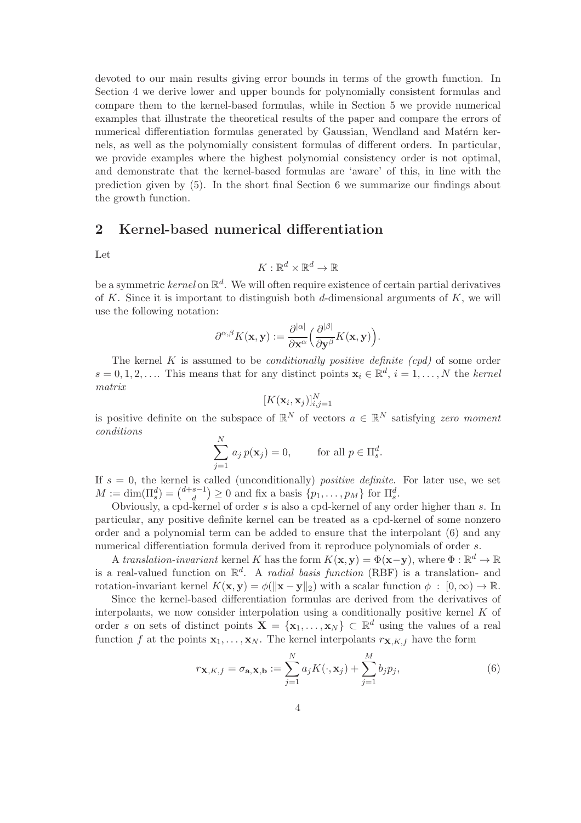devoted to our main results giving error bounds in terms of the growth function. In Section 4 we derive lower and upper bounds for polynomially consistent formulas and compare them to the kernel-based formulas, while in Section 5 we provide numerical examples that illustrate the theoretical results of the paper and compare the errors of numerical differentiation formulas generated by Gaussian, Wendland and Matérn kernels, as well as the polynomially consistent formulas of different orders. In particular, we provide examples where the highest polynomial consistency order is not optimal, and demonstrate that the kernel-based formulas are 'aware' of this, in line with the prediction given by (5). In the short final Section 6 we summarize our findings about the growth function.

## 2 Kernel-based numerical differentiation

Let

$$
K:\mathbb{R}^d\times\mathbb{R}^d\to\mathbb{R}
$$

be a symmetric *kernel* on  $\mathbb{R}^d$ . We will often require existence of certain partial derivatives of K. Since it is important to distinguish both  $d$ -dimensional arguments of K, we will use the following notation:

$$
\partial^{\alpha,\beta}K(\mathbf{x},\mathbf{y}):=\frac{\partial^{|\alpha|}}{\partial \mathbf{x}^{\alpha}}\Big(\frac{\partial^{|\beta|}}{\partial \mathbf{y}^{\beta}}K(\mathbf{x},\mathbf{y})\Big).
$$

The kernel K is assumed to be *conditionally positive definite (cpd)* of some order  $s = 0, 1, 2, \ldots$  This means that for any distinct points  $\mathbf{x}_i \in \mathbb{R}^d$ ,  $i = 1, \ldots, N$  the kernel matrix

$$
[K(\mathbf{x}_i, \mathbf{x}_j)]_{i,j=1}^N
$$

is positive definite on the subspace of  $\mathbb{R}^N$  of vectors  $a \in \mathbb{R}^N$  satisfying zero moment conditions

$$
\sum_{j=1}^{N} a_j p(\mathbf{x}_j) = 0, \quad \text{for all } p \in \Pi_s^d.
$$

If  $s = 0$ , the kernel is called (unconditionally) *positive definite*. For later use, we set  $M := \dim(\Pi_s^d) = \binom{d+s-1}{d}$  $\binom{s-1}{d} \geq 0$  and fix a basis  $\{p_1, \ldots, p_M\}$  for  $\Pi_s^d$ .

Obviously, a cpd-kernel of order s is also a cpd-kernel of any order higher than s. In particular, any positive definite kernel can be treated as a cpd-kernel of some nonzero order and a polynomial term can be added to ensure that the interpolant (6) and any numerical differentiation formula derived from it reproduce polynomials of order s.

A translation-invariant kernel K has the form  $K(\mathbf{x}, \mathbf{y}) = \Phi(\mathbf{x} - \mathbf{y})$ , where  $\Phi : \mathbb{R}^d \to \mathbb{R}$ is a real-valued function on  $\mathbb{R}^d$ . A *radial basis function* (RBF) is a translation- and rotation-invariant kernel  $K(\mathbf{x}, \mathbf{y}) = \phi(||\mathbf{x} - \mathbf{y}||_2)$  with a scalar function  $\phi : [0, \infty) \to \mathbb{R}$ .

Since the kernel-based differentiation formulas are derived from the derivatives of interpolants, we now consider interpolation using a conditionally positive kernel  $K$  of order s on sets of distinct points  $\mathbf{X} = {\mathbf{x}_1, \dots, \mathbf{x}_N} \subset \mathbb{R}^d$  using the values of a real function f at the points  $\mathbf{x}_1, \ldots, \mathbf{x}_N$ . The kernel interpolants  $r_{\mathbf{X},K,f}$  have the form

$$
r_{\mathbf{X},K,f} = \sigma_{\mathbf{a},\mathbf{X},\mathbf{b}} := \sum_{j=1}^{N} a_j K(\cdot,\mathbf{x}_j) + \sum_{j=1}^{M} b_j p_j,
$$
(6)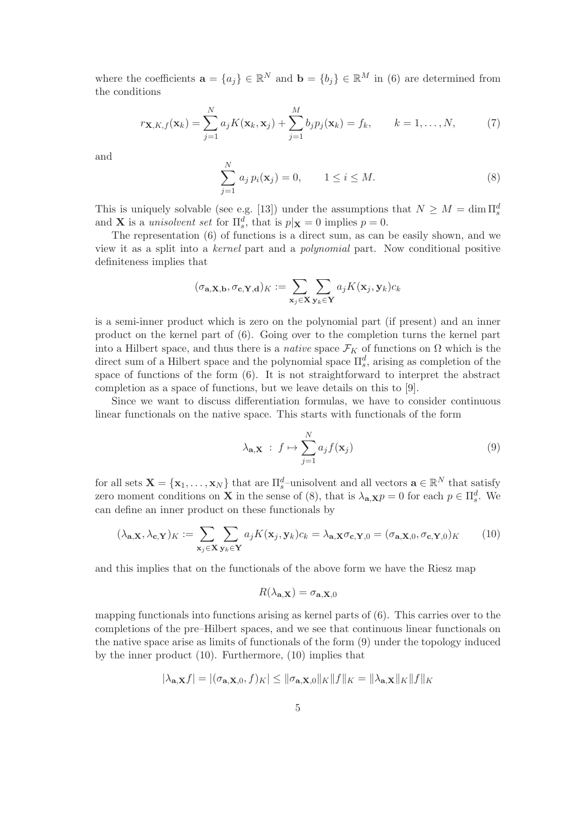where the coefficients  $\mathbf{a} = \{a_j\} \in \mathbb{R}^N$  and  $\mathbf{b} = \{b_j\} \in \mathbb{R}^M$  in (6) are determined from the conditions

$$
r_{\mathbf{X},K,f}(\mathbf{x}_k) = \sum_{j=1}^N a_j K(\mathbf{x}_k,\mathbf{x}_j) + \sum_{j=1}^M b_j p_j(\mathbf{x}_k) = f_k, \qquad k = 1,\ldots,N,
$$
 (7)

and

$$
\sum_{j=1}^{N} a_j p_i(\mathbf{x}_j) = 0, \qquad 1 \le i \le M.
$$
 (8)

This is uniquely solvable (see e.g. [13]) under the assumptions that  $N \geq M = \dim \Pi_s^d$ and **X** is a unisolvent set for  $\Pi_s^d$ , that is  $p|\mathbf{x}| = 0$  implies  $p = 0$ .

The representation (6) of functions is a direct sum, as can be easily shown, and we view it as a split into a kernel part and a polynomial part. Now conditional positive definiteness implies that

$$
(\sigma_{\mathbf{a}, \mathbf{X}, \mathbf{b}}, \sigma_{\mathbf{c}, \mathbf{Y}, \mathbf{d}})_K := \sum_{\mathbf{x}_j \in \mathbf{X}} \sum_{\mathbf{y}_k \in \mathbf{Y}} a_j K(\mathbf{x}_j, \mathbf{y}_k) c_k
$$

is a semi-inner product which is zero on the polynomial part (if present) and an inner product on the kernel part of (6). Going over to the completion turns the kernel part into a Hilbert space, and thus there is a *native* space  $\mathcal{F}_K$  of functions on  $\Omega$  which is the direct sum of a Hilbert space and the polynomial space  $\prod_s^d$ , arising as completion of the space of functions of the form (6). It is not straightforward to interpret the abstract completion as a space of functions, but we leave details on this to [9].

Since we want to discuss differentiation formulas, we have to consider continuous linear functionals on the native space. This starts with functionals of the form

$$
\lambda_{\mathbf{a}, \mathbf{X}} : f \mapsto \sum_{j=1}^{N} a_j f(\mathbf{x}_j)
$$
\n(9)

for all sets  $\mathbf{X} = \{x_1, \ldots, x_N\}$  that are  $\prod_{s=1}^{d}$ -unisolvent and all vectors  $\mathbf{a} \in \mathbb{R}^N$  that satisfy zero moment conditions on **X** in the sense of (8), that is  $\lambda_{a,\mathbf{X}} p = 0$  for each  $p \in \Pi_s^d$ . We can define an inner product on these functionals by

$$
(\lambda_{\mathbf{a},\mathbf{X}}, \lambda_{\mathbf{c},\mathbf{Y}})_K := \sum_{\mathbf{x}_j \in \mathbf{X}} \sum_{\mathbf{y}_k \in \mathbf{Y}} a_j K(\mathbf{x}_j, \mathbf{y}_k) c_k = \lambda_{\mathbf{a},\mathbf{X}} \sigma_{\mathbf{c},\mathbf{Y},0} = (\sigma_{\mathbf{a},\mathbf{X},0}, \sigma_{\mathbf{c},\mathbf{Y},0})_K
$$
(10)

and this implies that on the functionals of the above form we have the Riesz map

$$
R(\lambda_{\mathbf{a},\mathbf{X}})=\sigma_{\mathbf{a},\mathbf{X},0}
$$

mapping functionals into functions arising as kernel parts of (6). This carries over to the completions of the pre–Hilbert spaces, and we see that continuous linear functionals on the native space arise as limits of functionals of the form (9) under the topology induced by the inner product (10). Furthermore, (10) implies that

$$
|\lambda_{\mathbf{a},\mathbf{X}}f| = |(\sigma_{\mathbf{a},\mathbf{X},0},f)_K| \leq ||\sigma_{\mathbf{a},\mathbf{X},0}||_K||f||_K = ||\lambda_{\mathbf{a},\mathbf{X}}||_K||f||_K
$$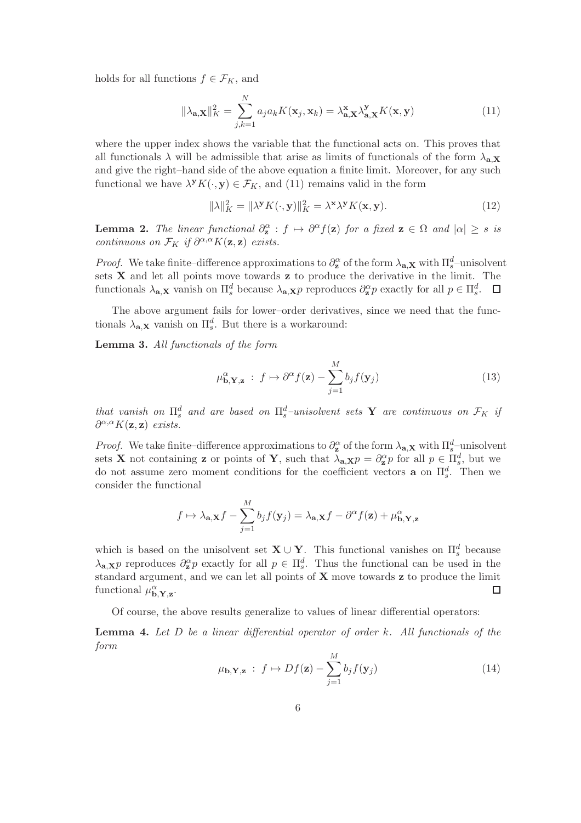holds for all functions  $f \in \mathcal{F}_K$ , and

$$
\|\lambda_{\mathbf{a},\mathbf{X}}\|_{K}^{2} = \sum_{j,k=1}^{N} a_{j} a_{k} K(\mathbf{x}_{j}, \mathbf{x}_{k}) = \lambda_{\mathbf{a},\mathbf{X}}^{\mathbf{x}} \lambda_{\mathbf{a},\mathbf{X}}^{\mathbf{y}} K(\mathbf{x}, \mathbf{y})
$$
(11)

where the upper index shows the variable that the functional acts on. This proves that all functionals  $\lambda$  will be admissible that arise as limits of functionals of the form  $\lambda_{a,X}$ and give the right–hand side of the above equation a finite limit. Moreover, for any such functional we have  $\lambda^{\mathbf{y}} K(\cdot, \mathbf{y}) \in \mathcal{F}_K$ , and (11) remains valid in the form

$$
\|\lambda\|_{K}^{2} = \|\lambda^{\mathbf{y}} K(\cdot, \mathbf{y})\|_{K}^{2} = \lambda^{\mathbf{x}} \lambda^{\mathbf{y}} K(\mathbf{x}, \mathbf{y}).
$$
\n(12)

**Lemma 2.** The linear functional  $\partial_{\mathbf{z}}^{\alpha}$  :  $f \mapsto \partial^{\alpha} f(\mathbf{z})$  for a fixed  $\mathbf{z} \in \Omega$  and  $|\alpha| \geq s$  is continuous on  $\mathcal{F}_K$  if  $\partial^{\alpha,\alpha} K(\mathbf{z}, \mathbf{z})$  exists.

*Proof.* We take finite–difference approximations to  $\partial_{\mathbf{z}}^{\alpha}$  of the form  $\lambda_{\mathbf{a},\mathbf{X}}$  with  $\Pi_{s}^{d}$ –unisolvent sets  $X$  and let all points move towards  $z$  to produce the derivative in the limit. The functionals  $\lambda_{\mathbf{a},\mathbf{X}}$  vanish on  $\prod_s^d$  because  $\lambda_{\mathbf{a},\mathbf{X}}p$  reproduces  $\partial_{\mathbf{z}}^{\alpha}p$  exactly for all  $p \in \prod_s^d$ .

The above argument fails for lower–order derivatives, since we need that the functionals  $\lambda_{\mathbf{a},\mathbf{X}}$  vanish on  $\Pi_s^d$ . But there is a workaround:

Lemma 3. All functionals of the form

$$
\mu_{\mathbf{b},\mathbf{Y},\mathbf{z}}^{\alpha} : f \mapsto \partial^{\alpha} f(\mathbf{z}) - \sum_{j=1}^{M} b_j f(\mathbf{y}_j)
$$
\n(13)

that vanish on  $\Pi_s^d$  and are based on  $\Pi_s^d$ -unisolvent sets **Y** are continuous on  $\mathcal{F}_K$  if  $\partial^{\alpha,\alpha} K(\mathbf{z},\mathbf{z})$  exists.

*Proof.* We take finite–difference approximations to  $\partial_{\mathbf{z}}^{\alpha}$  of the form  $\lambda_{\mathbf{a},\mathbf{X}}$  with  $\Pi_{s}^{d}$ –unisolvent sets **X** not containing **z** or points of **Y**, such that  $\lambda_{a,X}p = \partial_a^{\alpha}p$  for all  $p \in \Pi_s^d$ , but we do not assume zero moment conditions for the coefficient vectors **a** on  $\Pi_s^d$ . Then we consider the functional

$$
f \mapsto \lambda_{\mathbf{a}, \mathbf{X}} f - \sum_{j=1}^{M} b_j f(\mathbf{y}_j) = \lambda_{\mathbf{a}, \mathbf{X}} f - \partial^{\alpha} f(\mathbf{z}) + \mu_{\mathbf{b}, \mathbf{Y}, \mathbf{z}}^{\alpha}
$$

which is based on the unisolvent set  $\mathbf{X} \cup \mathbf{Y}$ . This functional vanishes on  $\Pi_s^d$  because  $\lambda_{\mathbf{a},\mathbf{X}} p$  reproduces  $\partial_{\mathbf{z}}^{\alpha} p$  exactly for all  $p \in \Pi_s^d$ . Thus the functional can be used in the standard argument, and we can let all points of  $X$  move towards  $z$  to produce the limit functional  $\mu_{\mathbf{b},\mathbf{Y},\mathbf{z}}^{\alpha}$ .  $\Box$ 

Of course, the above results generalize to values of linear differential operators:

**Lemma 4.** Let  $D$  be a linear differential operator of order  $k$ . All functionals of the form

$$
\mu_{\mathbf{b},\mathbf{Y},\mathbf{z}} : f \mapsto Df(\mathbf{z}) - \sum_{j=1}^{M} b_j f(\mathbf{y}_j)
$$
(14)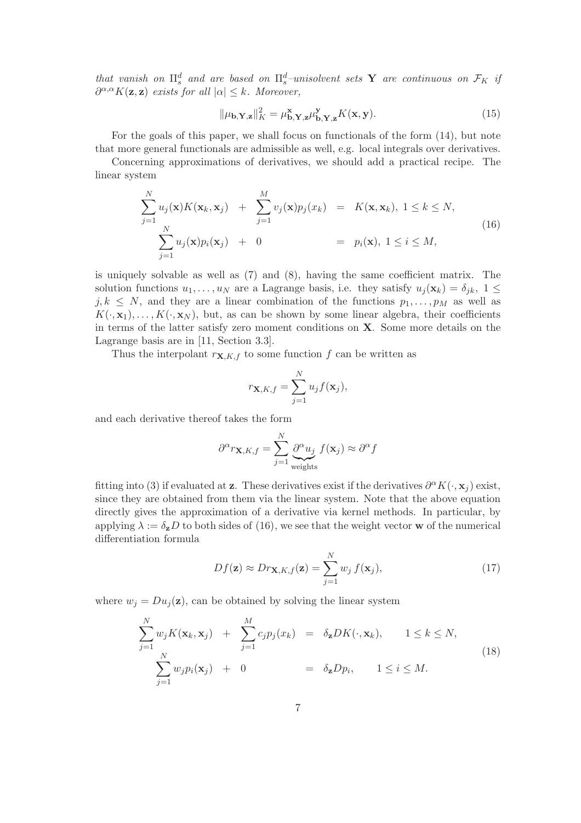that vanish on  $\Pi_s^d$  and are based on  $\Pi_s^d$ -unisolvent sets **Y** are continuous on  $\mathcal{F}_K$  if  $\partial^{\alpha,\alpha} K(\mathbf{z},\mathbf{z})$  exists for all  $|\alpha| \leq k$ . Moreover,

$$
\|\mu_{\mathbf{b}, \mathbf{Y}, \mathbf{z}}\|_{K}^{2} = \mu_{\mathbf{b}, \mathbf{Y}, \mathbf{z}}^{\mathbf{x}} \mu_{\mathbf{b}, \mathbf{Y}, \mathbf{z}}^{\mathbf{y}} K(\mathbf{x}, \mathbf{y}).
$$
\n(15)

For the goals of this paper, we shall focus on functionals of the form (14), but note that more general functionals are admissible as well, e.g. local integrals over derivatives.

Concerning approximations of derivatives, we should add a practical recipe. The linear system

$$
\sum_{j=1}^{N} u_j(\mathbf{x}) K(\mathbf{x}_k, \mathbf{x}_j) + \sum_{j=1}^{M} v_j(\mathbf{x}) p_j(x_k) = K(\mathbf{x}, \mathbf{x}_k), 1 \le k \le N,
$$
\n
$$
\sum_{j=1}^{N} u_j(\mathbf{x}) p_i(\mathbf{x}_j) + 0 = p_i(\mathbf{x}), 1 \le i \le M,
$$
\n(16)

is uniquely solvable as well as (7) and (8), having the same coefficient matrix. The solution functions  $u_1, \ldots, u_N$  are a Lagrange basis, i.e. they satisfy  $u_j(\mathbf{x}_k) = \delta_{jk}, 1 \leq$  $j, k \leq N$ , and they are a linear combination of the functions  $p_1, \ldots, p_M$  as well as  $K(\cdot, \mathbf{x}_1), \ldots, K(\cdot, \mathbf{x}_N)$ , but, as can be shown by some linear algebra, their coefficients in terms of the latter satisfy zero moment conditions on X. Some more details on the Lagrange basis are in [11, Section 3.3].

Thus the interpolant  $r_{\mathbf{X},K,f}$  to some function f can be written as

$$
r_{\mathbf{X},K,f} = \sum_{j=1}^{N} u_j f(\mathbf{x}_j),
$$

and each derivative thereof takes the form

$$
\partial^{\alpha} r_{\mathbf{X}, K, f} = \sum_{j=1}^{N} \underbrace{\partial^{\alpha} u_j}_{\text{weights}} f(\mathbf{x}_j) \approx \partial^{\alpha} f
$$

fitting into (3) if evaluated at **z**. These derivatives exist if the derivatives  $\partial^{\alpha} K(\cdot, \mathbf{x}_j)$  exist, since they are obtained from them via the linear system. Note that the above equation directly gives the approximation of a derivative via kernel methods. In particular, by applying  $\lambda := \delta_{\mathbf{z}} D$  to both sides of (16), we see that the weight vector **w** of the numerical differentiation formula

$$
Df(\mathbf{z}) \approx Dr_{\mathbf{X}, K, f}(\mathbf{z}) = \sum_{j=1}^{N} w_j f(\mathbf{x}_j),
$$
\n(17)

where  $w_j = Du_j(\mathbf{z})$ , can be obtained by solving the linear system

$$
\sum_{j=1}^{N} w_j K(\mathbf{x}_k, \mathbf{x}_j) + \sum_{j=1}^{M} c_j p_j(x_k) = \delta_{\mathbf{z}} DK(\cdot, \mathbf{x}_k), \qquad 1 \le k \le N,
$$
\n
$$
\sum_{j=1}^{N} w_j p_i(\mathbf{x}_j) + 0 = \delta_{\mathbf{z}} D p_i, \qquad 1 \le i \le M.
$$
\n(18)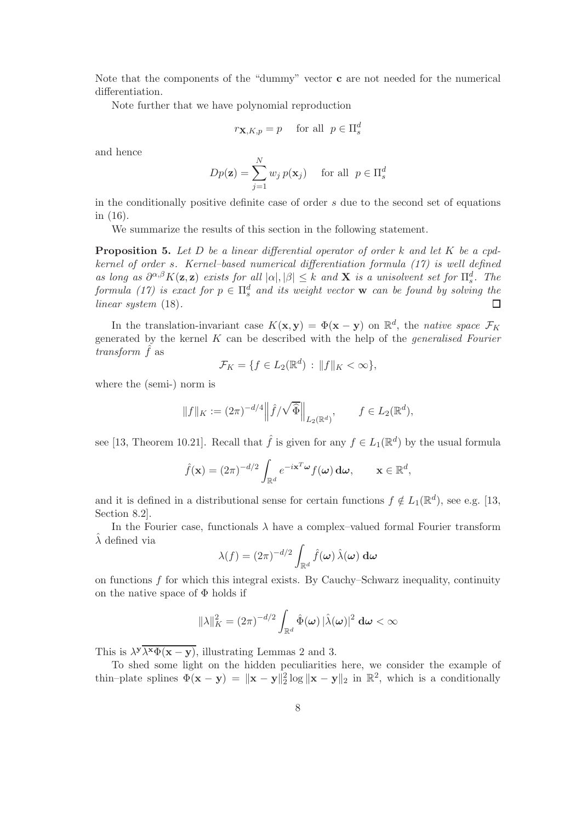Note that the components of the "dummy" vector c are not needed for the numerical differentiation.

Note further that we have polynomial reproduction

$$
r_{\mathbf{X}, K, p} = p \quad \text{ for all } \ p \in \Pi_s^d
$$

and hence

$$
Dp(\mathbf{z}) = \sum_{j=1}^{N} w_j p(\mathbf{x}_j) \quad \text{for all } p \in \Pi_s^d
$$

in the conditionally positive definite case of order  $s$  due to the second set of equations in (16).

We summarize the results of this section in the following statement.

**Proposition 5.** Let  $D$  be a linear differential operator of order  $k$  and let  $K$  be a cpdkernel of order s. Kernel–based numerical differentiation formula (17) is well defined as long as  $\partial^{\alpha,\beta} K(\mathbf{z}, \mathbf{z})$  exists for all  $|\alpha|, |\beta| \leq k$  and **X** is a unisolvent set for  $\Pi_s^d$ . The formula (17) is exact for  $p \in \Pi_s^d$  and its weight vector **w** can be found by solving the linear system  $(18)$ .  $\Box$ 

In the translation-invariant case  $K(\mathbf{x}, \mathbf{y}) = \Phi(\mathbf{x} - \mathbf{y})$  on  $\mathbb{R}^d$ , the *native space*  $\mathcal{F}_K$ generated by the kernel  $K$  can be described with the help of the *generalised Fourier* transform  $\hat{f}$  as

$$
\mathcal{F}_K = \{ f \in L_2(\mathbb{R}^d) : ||f||_K < \infty \},\
$$

where the (semi-) norm is

$$
||f||_K := (2\pi)^{-d/4} ||\hat{f}/\sqrt{\hat{\Phi}}||_{L_2(\mathbb{R}^d)}, \qquad f \in L_2(\mathbb{R}^d),
$$

see [13, Theorem 10.21]. Recall that  $\hat{f}$  is given for any  $f \in L_1(\mathbb{R}^d)$  by the usual formula

$$
\hat{f}(\mathbf{x}) = (2\pi)^{-d/2} \int_{\mathbb{R}^d} e^{-i\mathbf{x}^T \boldsymbol{\omega}} f(\boldsymbol{\omega}) \, \mathrm{d}\boldsymbol{\omega}, \qquad \mathbf{x} \in \mathbb{R}^d,
$$

and it is defined in a distributional sense for certain functions  $f \notin L_1(\mathbb{R}^d)$ , see e.g. [13, Section 8.2].

In the Fourier case, functionals  $\lambda$  have a complex-valued formal Fourier transform  $\lambda$  defined via

$$
\lambda(f) = (2\pi)^{-d/2} \int_{\mathbb{R}^d} \hat{f}(\boldsymbol{\omega}) \, \hat{\lambda}(\boldsymbol{\omega}) \, \mathrm{d}\boldsymbol{\omega}
$$

on functions  $f$  for which this integral exists. By Cauchy–Schwarz inequality, continuity on the native space of  $\Phi$  holds if

$$
\|\lambda\|_K^2 = (2\pi)^{-d/2} \int_{\mathbb{R}^d} \hat{\Phi}(\boldsymbol{\omega}) |\hat{\lambda}(\boldsymbol{\omega})|^2 \, \mathbf{d}\boldsymbol{\omega} < \infty
$$

This is  $\lambda^{\mathbf{y}} \overline{\lambda^{\mathbf{x}} \Phi(\mathbf{x}-\mathbf{y})}$ , illustrating Lemmas 2 and 3.

To shed some light on the hidden peculiarities here, we consider the example of thin–plate splines  $\Phi(\mathbf{x} - \mathbf{y}) = \|\mathbf{x} - \mathbf{y}\|_2^2 \log \|\mathbf{x} - \mathbf{y}\|_2$  in  $\mathbb{R}^2$ , which is a conditionally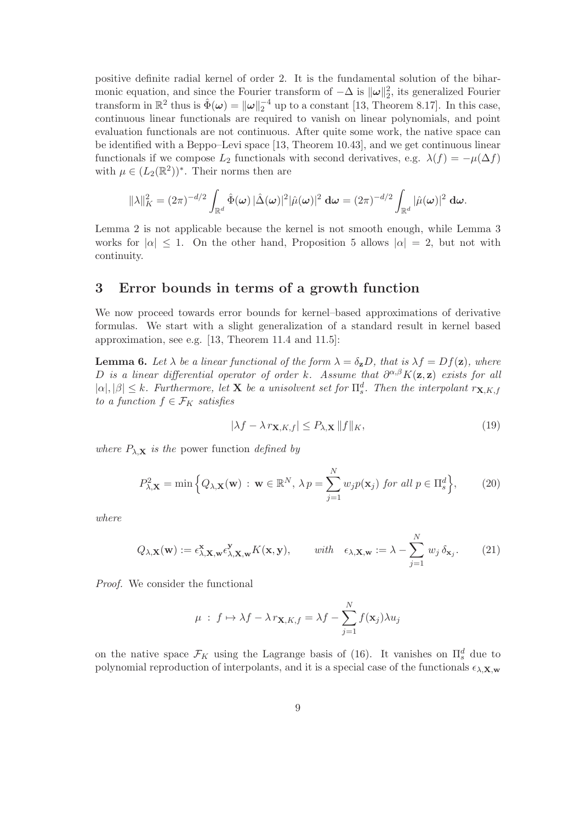positive definite radial kernel of order 2. It is the fundamental solution of the biharmonic equation, and since the Fourier transform of  $-\Delta$  is  $\|\omega\|_2^2$ , its generalized Fourier transform in  $\mathbb{R}^2$  thus is  $\hat{\Phi}(\omega) = ||\omega||_2^{-4}$  up to a constant [13, Theorem 8.17]. In this case, continuous linear functionals are required to vanish on linear polynomials, and point evaluation functionals are not continuous. After quite some work, the native space can be identified with a Beppo–Levi space [13, Theorem 10.43], and we get continuous linear functionals if we compose  $L_2$  functionals with second derivatives, e.g.  $\lambda(f) = -\mu(\Delta f)$ with  $\mu \in (L_2(\mathbb{R}^2))^*$ . Their norms then are

$$
\|\lambda\|_K^2 = (2\pi)^{-d/2} \int_{\mathbb{R}^d} \hat{\Phi}(\omega) |\hat{\Delta}(\omega)|^2 |\hat{\mu}(\omega)|^2 \, d\omega = (2\pi)^{-d/2} \int_{\mathbb{R}^d} |\hat{\mu}(\omega)|^2 \, d\omega.
$$

Lemma 2 is not applicable because the kernel is not smooth enough, while Lemma 3 works for  $|\alpha| \leq 1$ . On the other hand, Proposition 5 allows  $|\alpha| = 2$ , but not with continuity.

### 3 Error bounds in terms of a growth function

We now proceed towards error bounds for kernel–based approximations of derivative formulas. We start with a slight generalization of a standard result in kernel based approximation, see e.g. [13, Theorem 11.4 and 11.5]:

**Lemma 6.** Let  $\lambda$  be a linear functional of the form  $\lambda = \delta_{\mathbf{z}}D$ , that is  $\lambda f = Df(\mathbf{z})$ , where D is a linear differential operator of order k. Assume that  $\partial^{\alpha,\beta}K(\mathbf{z},\mathbf{z})$  exists for all  $|\alpha|, |\beta| \leq k$ . Furthermore, let **X** be a unisolvent set for  $\prod_s^d$ . Then the interpolant  $r_{\mathbf{X},K,f}$ to a function  $f \in \mathcal{F}_K$  satisfies

$$
|\lambda f - \lambda r_{\mathbf{X}, K, f}| \le P_{\lambda, \mathbf{X}} \|f\|_{K},\tag{19}
$$

where  $P_{\lambda, \mathbf{X}}$  is the power function defined by

$$
P_{\lambda,\mathbf{X}}^2 = \min\left\{Q_{\lambda,\mathbf{X}}(\mathbf{w}) : \mathbf{w} \in \mathbb{R}^N, \lambda p = \sum_{j=1}^N w_j p(\mathbf{x}_j) \text{ for all } p \in \Pi_s^d\right\},\qquad(20)
$$

where

$$
Q_{\lambda,\mathbf{X}}(\mathbf{w}) := \epsilon_{\lambda,\mathbf{X},\mathbf{w}}^{\mathbf{X}} \epsilon_{\lambda,\mathbf{X},\mathbf{w}}^{\mathbf{Y}} K(\mathbf{x}, \mathbf{y}), \qquad with \quad \epsilon_{\lambda,\mathbf{X},\mathbf{w}} := \lambda - \sum_{j=1}^{N} w_j \, \delta_{\mathbf{x}_j}.
$$
 (21)

Proof. We consider the functional

$$
\mu : f \mapsto \lambda f - \lambda r_{\mathbf{X}, K, f} = \lambda f - \sum_{j=1}^{N} f(\mathbf{x}_j) \lambda u_j
$$

on the native space  $\mathcal{F}_K$  using the Lagrange basis of (16). It vanishes on  $\Pi_s^d$  due to polynomial reproduction of interpolants, and it is a special case of the functionals  $\epsilon_{\lambda,\mathbf{X},\mathbf{w}}$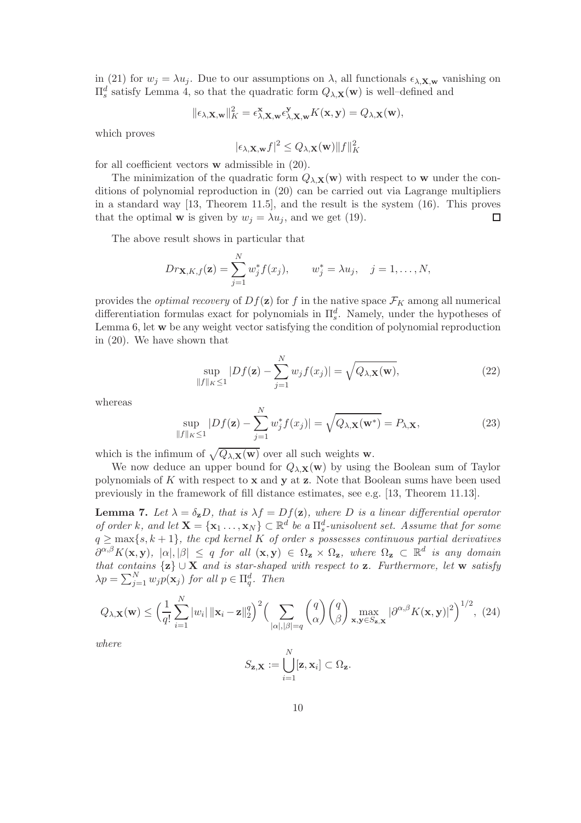in (21) for  $w_j = \lambda u_j$ . Due to our assumptions on  $\lambda$ , all functionals  $\epsilon_{\lambda,\mathbf{X},\mathbf{w}}$  vanishing on  $\Pi_s^d$  satisfy Lemma 4, so that the quadratic form  $Q_{\lambda,\mathbf{X}}(\mathbf{w})$  is well-defined and

$$
\|\epsilon_{\lambda,\mathbf{X},\mathbf{w}}\|_{K}^{2} = \epsilon_{\lambda,\mathbf{X},\mathbf{w}}^{\mathbf{x}} \epsilon_{\lambda,\mathbf{X},\mathbf{w}}^{\mathbf{y}} K(\mathbf{x},\mathbf{y}) = Q_{\lambda,\mathbf{X}}(\mathbf{w}),
$$

which proves

$$
|\epsilon_{\lambda, \mathbf{X}, \mathbf{w}} f|^2 \le Q_{\lambda, \mathbf{X}}(\mathbf{w}) \|f\|_K^2
$$

for all coefficient vectors w admissible in (20).

The minimization of the quadratic form  $Q_{\lambda,\mathbf{X}}(\mathbf{w})$  with respect to w under the conditions of polynomial reproduction in (20) can be carried out via Lagrange multipliers in a standard way [13, Theorem 11.5], and the result is the system (16). This proves that the optimal **w** is given by  $w_j = \lambda u_j$ , and we get (19).  $\Box$ 

The above result shows in particular that

$$
Dr_{\mathbf{X},K,f}(\mathbf{z}) = \sum_{j=1}^{N} w_j^* f(x_j), \qquad w_j^* = \lambda u_j, \quad j = 1, ..., N,
$$

provides the *optimal recovery* of  $Df(\mathbf{z})$  for f in the native space  $\mathcal{F}_K$  among all numerical differentiation formulas exact for polynomials in  $\Pi_s^d$ . Namely, under the hypotheses of Lemma 6, let w be any weight vector satisfying the condition of polynomial reproduction in (20). We have shown that

$$
\sup_{\|f\|_{K}\leq 1}|Df(\mathbf{z})-\sum_{j=1}^{N}w_{j}f(x_{j})|=\sqrt{Q_{\lambda,\mathbf{X}}(\mathbf{w})},
$$
\n(22)

whereas

$$
\sup_{\|f\|_{K}\leq 1} |Df(\mathbf{z}) - \sum_{j=1}^{N} w_{j}^{*} f(x_{j})| = \sqrt{Q_{\lambda, \mathbf{X}}(\mathbf{w}^{*})} = P_{\lambda, \mathbf{X}},
$$
\n(23)

which is the infimum of  $\sqrt{Q_{\lambda,\mathbf{X}}(\mathbf{w})}$  over all such weights w.

We now deduce an upper bound for  $Q_{\lambda,\mathbf{X}}(\mathbf{w})$  by using the Boolean sum of Taylor polynomials of  $K$  with respect to  $x$  and  $y$  at  $z$ . Note that Boolean sums have been used previously in the framework of fill distance estimates, see e.g. [13, Theorem 11.13].

**Lemma 7.** Let  $\lambda = \delta_{\mathbf{z}}D$ , that is  $\lambda f = Df(\mathbf{z})$ , where D is a linear differential operator of order k, and let  $\mathbf{X} = {\mathbf{x}_1 \dots, \mathbf{x}_N} \subset \mathbb{R}^d$  be a  $\prod_s^d$ -unisolvent set. Assume that for some  $q \geq \max\{s, k+1\}$ , the cpd kernel K of order s possesses continuous partial derivatives  $\partial^{\alpha,\beta}K(\mathbf{x},\mathbf{y}), |\alpha|, |\beta| \leq q$  for all  $(\mathbf{x},\mathbf{y}) \in \Omega_{\mathbf{z}} \times \Omega_{\mathbf{z}},$  where  $\Omega_{\mathbf{z}} \subset \mathbb{R}^d$  is any domain that contains  $\{z\} \cup X$  and is star-shaped with respect to z. Furthermore, let w satisfy  $\lambda p = \sum_{j=1}^{N} w_j p(\mathbf{x}_j)$  for all  $p \in \Pi_q^d$ . Then

$$
Q_{\lambda,\mathbf{X}}(\mathbf{w}) \leq \Big(\frac{1}{q!} \sum_{i=1}^{N} |w_i| \, \|\mathbf{x}_i - \mathbf{z}\|_2^q\Big)^2 \Big(\sum_{|\alpha|, |\beta|=q} \binom{q}{\alpha} \binom{q}{\beta} \max_{\mathbf{x},\mathbf{y} \in S_{\mathbf{z},\mathbf{X}}} |\partial^{\alpha,\beta} K(\mathbf{x}, \mathbf{y})|^2\Big)^{1/2},\tag{24}
$$

where

$$
S_{\mathbf{z},\mathbf{X}} := \bigcup_{i=1}^N [\mathbf{z}, \mathbf{x}_i] \subset \Omega_{\mathbf{z}}.
$$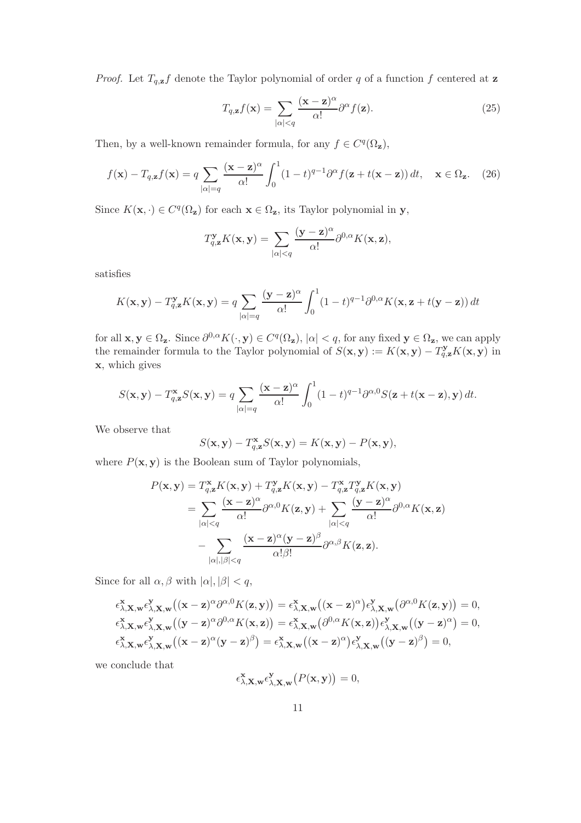*Proof.* Let  $T_{q,z}f$  denote the Taylor polynomial of order q of a function f centered at z

$$
T_{q,\mathbf{z}}f(\mathbf{x}) = \sum_{|\alpha| < q} \frac{(\mathbf{x} - \mathbf{z})^{\alpha}}{\alpha!} \partial^{\alpha} f(\mathbf{z}).\tag{25}
$$

Then, by a well-known remainder formula, for any  $f \in C<sup>q</sup>(\Omega<sub>z</sub>)$ ,

$$
f(\mathbf{x}) - T_{q,\mathbf{z}}f(\mathbf{x}) = q \sum_{|\alpha|=q} \frac{(\mathbf{x} - \mathbf{z})^{\alpha}}{\alpha!} \int_0^1 (1-t)^{q-1} \partial^{\alpha} f(\mathbf{z} + t(\mathbf{x} - \mathbf{z})) dt, \quad \mathbf{x} \in \Omega_{\mathbf{z}}.
$$
 (26)

Since  $K(\mathbf{x},\cdot) \in C^q(\Omega_{\mathbf{z}})$  for each  $\mathbf{x} \in \Omega_{\mathbf{z}}$ , its Taylor polynomial in y,

$$
T_{q,\mathbf{z}}^{\mathbf{y}} K(\mathbf{x}, \mathbf{y}) = \sum_{|\alpha| \le q} \frac{(\mathbf{y} - \mathbf{z})^{\alpha}}{\alpha!} \partial^{0,\alpha} K(\mathbf{x}, \mathbf{z}),
$$

satisfies

$$
K(\mathbf{x}, \mathbf{y}) - T_{q, \mathbf{z}}^{\mathbf{y}} K(\mathbf{x}, \mathbf{y}) = q \sum_{|\alpha| = q} \frac{(\mathbf{y} - \mathbf{z})^{\alpha}}{\alpha!} \int_0^1 (1 - t)^{q - 1} \partial^{0, \alpha} K(\mathbf{x}, \mathbf{z} + t(\mathbf{y} - \mathbf{z})) dt
$$

for all  $\mathbf{x}, \mathbf{y} \in \Omega_{\mathbf{z}}$ . Since  $\partial^{0,\alpha} K(\cdot, \mathbf{y}) \in C^q(\Omega_{\mathbf{z}}), |\alpha| < q$ , for any fixed  $\mathbf{y} \in \Omega_{\mathbf{z}}$ , we can apply the remainder formula to the Taylor polynomial of  $S(\mathbf{x}, \mathbf{y}) := K(\mathbf{x}, \mathbf{y}) - T_{q,\mathbf{z}}^{\mathbf{y}} K(\mathbf{x}, \mathbf{y})$  in x, which gives

$$
S(\mathbf{x}, \mathbf{y}) - T_{q, \mathbf{z}}^{\mathbf{x}} S(\mathbf{x}, \mathbf{y}) = q \sum_{|\alpha| = q} \frac{(\mathbf{x} - \mathbf{z})^{\alpha}}{\alpha!} \int_0^1 (1 - t)^{q-1} \partial^{\alpha, 0} S(\mathbf{z} + t(\mathbf{x} - \mathbf{z}), \mathbf{y}) dt.
$$

We observe that

$$
S(\mathbf{x}, \mathbf{y}) - T_{q, \mathbf{z}}^{\mathbf{x}} S(\mathbf{x}, \mathbf{y}) = K(\mathbf{x}, \mathbf{y}) - P(\mathbf{x}, \mathbf{y}),
$$

where  $P(\mathbf{x}, \mathbf{y})$  is the Boolean sum of Taylor polynomials,

$$
P(\mathbf{x}, \mathbf{y}) = T_{q, \mathbf{z}}^{\mathbf{x}} K(\mathbf{x}, \mathbf{y}) + T_{q, \mathbf{z}}^{\mathbf{y}} K(\mathbf{x}, \mathbf{y}) - T_{q, \mathbf{z}}^{\mathbf{x}} T_{q, \mathbf{z}}^{\mathbf{y}} K(\mathbf{x}, \mathbf{y})
$$
  
= 
$$
\sum_{|\alpha| < q} \frac{(\mathbf{x} - \mathbf{z})^{\alpha}}{\alpha!} \partial^{\alpha, 0} K(\mathbf{z}, \mathbf{y}) + \sum_{|\alpha| < q} \frac{(\mathbf{y} - \mathbf{z})^{\alpha}}{\alpha!} \partial^{0, \alpha} K(\mathbf{x}, \mathbf{z})
$$
  
- 
$$
\sum_{|\alpha|, |\beta| < q} \frac{(\mathbf{x} - \mathbf{z})^{\alpha} (\mathbf{y} - \mathbf{z})^{\beta}}{\alpha! \beta!} \partial^{\alpha, \beta} K(\mathbf{z}, \mathbf{z}).
$$

Since for all  $\alpha, \beta$  with  $|\alpha|, |\beta| < q$ ,

$$
\begin{array}{llll} \epsilon^{\mathbf{x}}_{\lambda,\mathbf{X},\mathbf{w}}\epsilon^{\mathbf{y}}_{\lambda,\mathbf{X},\mathbf{w}}\big((\mathbf{x}-\mathbf{z})^{\alpha}\partial^{\alpha,0}K(\mathbf{z},\mathbf{y})\big) = \epsilon^{\mathbf{x}}_{\lambda,\mathbf{X},\mathbf{w}}\big((\mathbf{x}-\mathbf{z})^{\alpha}\big)\epsilon^{\mathbf{y}}_{\lambda,\mathbf{X},\mathbf{w}}\big(\partial^{\alpha,0}K(\mathbf{z},\mathbf{y})\big) = 0,\\ \epsilon^{\mathbf{x}}_{\lambda,\mathbf{X},\mathbf{w}}\epsilon^{\mathbf{y}}_{\lambda,\mathbf{X},\mathbf{w}}\big((\mathbf{y}-\mathbf{z})^{\alpha}\partial^{0,\alpha}K(\mathbf{x},\mathbf{z})\big) = \epsilon^{\mathbf{x}}_{\lambda,\mathbf{X},\mathbf{w}}\big(\partial^{0,\alpha}K(\mathbf{x},\mathbf{z})\big)\epsilon^{\mathbf{y}}_{\lambda,\mathbf{X},\mathbf{w}}\big((\mathbf{y}-\mathbf{z})^{\alpha}\big) = 0,\\ \epsilon^{\mathbf{x}}_{\lambda,\mathbf{X},\mathbf{w}}\epsilon^{\mathbf{y}}_{\lambda,\mathbf{X},\mathbf{w}}\big((\mathbf{x}-\mathbf{z})^{\alpha}(\mathbf{y}-\mathbf{z})^{\beta}\big) = \epsilon^{\mathbf{x}}_{\lambda,\mathbf{X},\mathbf{w}}\big((\mathbf{x}-\mathbf{z})^{\alpha}\big)\epsilon^{\mathbf{y}}_{\lambda,\mathbf{X},\mathbf{w}}\big((\mathbf{y}-\mathbf{z})^{\beta}\big) = 0, \end{array}
$$

we conclude that

$$
\epsilon^{\mathbf{x}}_{\lambda,\mathbf{X},\mathbf{w}}\epsilon^{\mathbf{y}}_{\lambda,\mathbf{X},\mathbf{w}}\big(P(\mathbf{x},\mathbf{y})\big)=0,
$$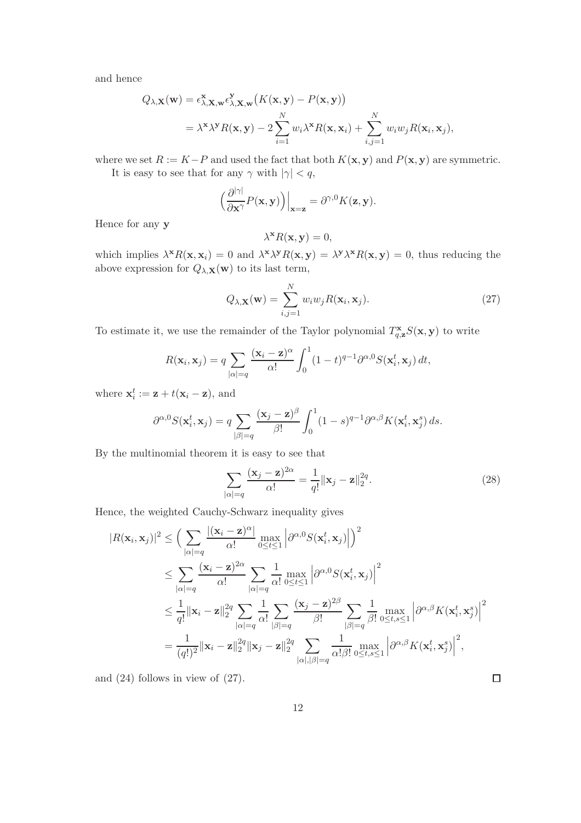and hence

$$
Q_{\lambda, \mathbf{X}}(\mathbf{w}) = \epsilon_{\lambda, \mathbf{X}, \mathbf{w}}^{\mathbf{X}} \epsilon_{\lambda, \mathbf{X}, \mathbf{w}}^{\mathbf{Y}} \big( K(\mathbf{x}, \mathbf{y}) - P(\mathbf{x}, \mathbf{y}) \big)
$$
  
=  $\lambda^{\mathbf{X}} \lambda^{\mathbf{Y}} R(\mathbf{x}, \mathbf{y}) - 2 \sum_{i=1}^{N} w_i \lambda^{\mathbf{X}} R(\mathbf{x}, \mathbf{x}_i) + \sum_{i,j=1}^{N} w_i w_j R(\mathbf{x}_i, \mathbf{x}_j),$ 

where we set  $R := K - P$  and used the fact that both  $K(\mathbf{x}, \mathbf{y})$  and  $P(\mathbf{x}, \mathbf{y})$  are symmetric.

It is easy to see that for any  $\gamma$  with  $|\gamma| < q$ ,

$$
\left(\frac{\partial^{|\gamma|}}{\partial \mathbf{x}^{\gamma}} P(\mathbf{x}, \mathbf{y})\right)\Big|_{\mathbf{x}=\mathbf{z}} = \partial^{\gamma,0} K(\mathbf{z}, \mathbf{y}).
$$

Hence for any y

$$
\lambda^{\mathbf{x}} R(\mathbf{x}, \mathbf{y}) = 0,
$$

which implies  $\lambda^x R(\mathbf{x}, \mathbf{x}_i) = 0$  and  $\lambda^x \lambda^y R(\mathbf{x}, \mathbf{y}) = \lambda^y \lambda^x R(\mathbf{x}, \mathbf{y}) = 0$ , thus reducing the above expression for  $Q_{\lambda, \mathbf{X}}(\mathbf{w})$  to its last term,

$$
Q_{\lambda, \mathbf{X}}(\mathbf{w}) = \sum_{i,j=1}^{N} w_i w_j R(\mathbf{x}_i, \mathbf{x}_j).
$$
 (27)

To estimate it, we use the remainder of the Taylor polynomial  $T_{q,\mathbf{z}}^{\mathbf{x}}S(\mathbf{x},\mathbf{y})$  to write

$$
R(\mathbf{x}_i, \mathbf{x}_j) = q \sum_{|\alpha|=q} \frac{(\mathbf{x}_i - \mathbf{z})^{\alpha}}{\alpha!} \int_0^1 (1-t)^{q-1} \partial^{\alpha,0} S(\mathbf{x}_i^t, \mathbf{x}_j) dt,
$$

where  $\mathbf{x}_i^t := \mathbf{z} + t(\mathbf{x}_i - \mathbf{z})$ , and

$$
\partial^{\alpha,0} S(\mathbf{x}_i^t,\mathbf{x}_j) = q \sum_{|\beta|=q} \frac{(\mathbf{x}_j - \mathbf{z})^{\beta}}{\beta!} \int_0^1 (1-s)^{q-1} \partial^{\alpha,\beta} K(\mathbf{x}_i^t,\mathbf{x}_j^s) ds.
$$

By the multinomial theorem it is easy to see that

$$
\sum_{|\alpha|=q} \frac{(\mathbf{x}_j - \mathbf{z})^{2\alpha}}{\alpha!} = \frac{1}{q!} ||\mathbf{x}_j - \mathbf{z}||_2^{2q}.
$$
 (28)

Hence, the weighted Cauchy-Schwarz inequality gives

$$
|R(\mathbf{x}_i, \mathbf{x}_j)|^2 \leq \Big(\sum_{|\alpha|=q} \frac{|(\mathbf{x}_i - \mathbf{z})^{\alpha}|}{\alpha!} \max_{0 \leq t \leq 1} \Big|\partial^{\alpha,0} S(\mathbf{x}_i^t, \mathbf{x}_j)\Big|\Big)^2
$$
  
\$\leq \sum\_{|\alpha|=q} \frac{(\mathbf{x}\_i - \mathbf{z})^{2\alpha}}{\alpha!} \sum\_{|\alpha|=q} \frac{1}{\alpha!} \max\_{0 \leq t \leq 1} \Big|\partial^{\alpha,0} S(\mathbf{x}\_i^t, \mathbf{x}\_j)\Big|^2  
\$\leq \frac{1}{q!} ||\mathbf{x}\_i - \mathbf{z}||\_2^{2q} \sum\_{|\alpha|=q} \frac{1}{\alpha!} \sum\_{|\beta|=q} \frac{(\mathbf{x}\_j - \mathbf{z})^{2\beta}}{\beta!} \sum\_{|\beta|=q} \frac{1}{\beta!} \max\_{0 \leq t,s \leq 1} \Big|\partial^{\alpha,\beta} K(\mathbf{x}\_i^t, \mathbf{x}\_j^s)\Big|^2  
= \frac{1}{(q!)^2} ||\mathbf{x}\_i - \mathbf{z}||\_2^{2q} ||\mathbf{x}\_j - \mathbf{z}||\_2^{2q} \sum\_{|\alpha|, |\beta|=q} \frac{1}{\alpha! \beta!} \max\_{0 \leq t,s \leq 1} \Big|\partial^{\alpha,\beta} K(\mathbf{x}\_i^t, \mathbf{x}\_j^s)\Big|^2,

and (24) follows in view of (27).

 $\Box$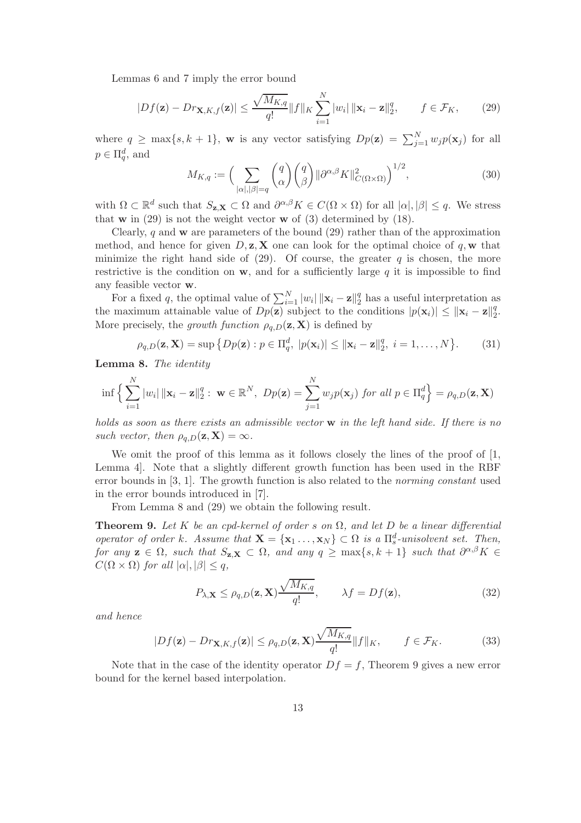Lemmas 6 and 7 imply the error bound

$$
|Df(\mathbf{z}) - Dr_{\mathbf{X}, K, f}(\mathbf{z})| \le \frac{\sqrt{M_{K, q}}}{q!} ||f||_K \sum_{i=1}^N |w_i| ||\mathbf{x}_i - \mathbf{z}||_2^q, \qquad f \in \mathcal{F}_K,
$$
 (29)

where  $q \ge \max\{s, k+1\}$ , w is any vector satisfying  $Dp(\mathbf{z}) = \sum_{j=1}^{N} w_j p(\mathbf{x}_j)$  for all  $p \in \Pi_q^d$ , and

$$
M_{K,q} := \left(\sum_{|\alpha|,|\beta|=q} \binom{q}{\alpha} \binom{q}{\beta} ||\partial^{\alpha,\beta} K||^2_{C(\Omega \times \Omega)}\right)^{1/2},\tag{30}
$$

with  $\Omega \subset \mathbb{R}^d$  such that  $S_{\mathbf{z},\mathbf{X}} \subset \Omega$  and  $\partial^{\alpha,\beta}K \in C(\Omega \times \Omega)$  for all  $|\alpha|,|\beta| \leq q$ . We stress that  $w$  in (29) is not the weight vector  $w$  of (3) determined by (18).

Clearly, q and  $\bf{w}$  are parameters of the bound (29) rather than of the approximation method, and hence for given  $D, z, X$  one can look for the optimal choice of q, w that minimize the right hand side of  $(29)$ . Of course, the greater q is chosen, the more restrictive is the condition on  $w$ , and for a sufficiently large  $q$  it is impossible to find any feasible vector w.

For a fixed q, the optimal value of  $\sum_{i=1}^{N} |w_i| ||\mathbf{x}_i - \mathbf{z}||_2^q$  $\frac{q}{2}$  has a useful interpretation as the maximum attainable value of  $Dp(\mathbf{z})$  subject to the conditions  $|p(\mathbf{x}_i)| \leq ||\mathbf{x}_i - \mathbf{z}||_2^q$  $\frac{q}{2}$ . More precisely, the growth function  $\rho_{q,D}(\mathbf{z}, \mathbf{X})$  is defined by

$$
\rho_{q,D}(\mathbf{z}, \mathbf{X}) = \sup \left\{ Dp(\mathbf{z}) : p \in \Pi_q^d, \ |p(\mathbf{x}_i)| \le ||\mathbf{x}_i - \mathbf{z}||_2^q, \ i = 1, \dots, N \right\}.
$$
 (31)

Lemma 8. The identity

$$
\inf \Big\{ \sum_{i=1}^N |w_i| \, \|\mathbf{x}_i - \mathbf{z}\|_2^q : \ \mathbf{w} \in \mathbb{R}^N, \ Dp(\mathbf{z}) = \sum_{j=1}^N w_j p(\mathbf{x}_j) \ \text{for all } p \in \Pi_q^d \Big\} = \rho_{q,D}(\mathbf{z}, \mathbf{X})
$$

holds as soon as there exists an admissible vector w in the left hand side. If there is no such vector, then  $\rho_{q,D}(\mathbf{z}, \mathbf{X}) = \infty$ .

We omit the proof of this lemma as it follows closely the lines of the proof of [1, Lemma 4]. Note that a slightly different growth function has been used in the RBF error bounds in [3, 1]. The growth function is also related to the norming constant used in the error bounds introduced in [7].

From Lemma 8 and (29) we obtain the following result.

**Theorem 9.** Let K be an cpd-kernel of order s on  $\Omega$ , and let D be a linear differential operator of order k. Assume that  $\mathbf{X} = {\mathbf{x}_1 \dots, \mathbf{x}_N} \subset \Omega$  is a  $\Pi_s^d$ -unisolvent set. Then, for any  $z \in \Omega$ , such that  $S_{z,X} \subset \Omega$ , and any  $q \geq \max\{s, k+1\}$  such that  $\partial^{\alpha,\beta}K \in$  $C(\Omega \times \Omega)$  for all  $|\alpha|, |\beta| \leq q$ ,

$$
P_{\lambda, \mathbf{X}} \le \rho_{q,D}(\mathbf{z}, \mathbf{X}) \frac{\sqrt{M_{K,q}}}{q!}, \qquad \lambda f = Df(\mathbf{z}), \tag{32}
$$

and hence

$$
|Df(\mathbf{z}) - Dr_{\mathbf{X},K,f}(\mathbf{z})| \le \rho_{q,D}(\mathbf{z}, \mathbf{X}) \frac{\sqrt{M_{K,q}}}{q!} ||f||_K, \qquad f \in \mathcal{F}_K.
$$
 (33)

Note that in the case of the identity operator  $Df = f$ , Theorem 9 gives a new error bound for the kernel based interpolation.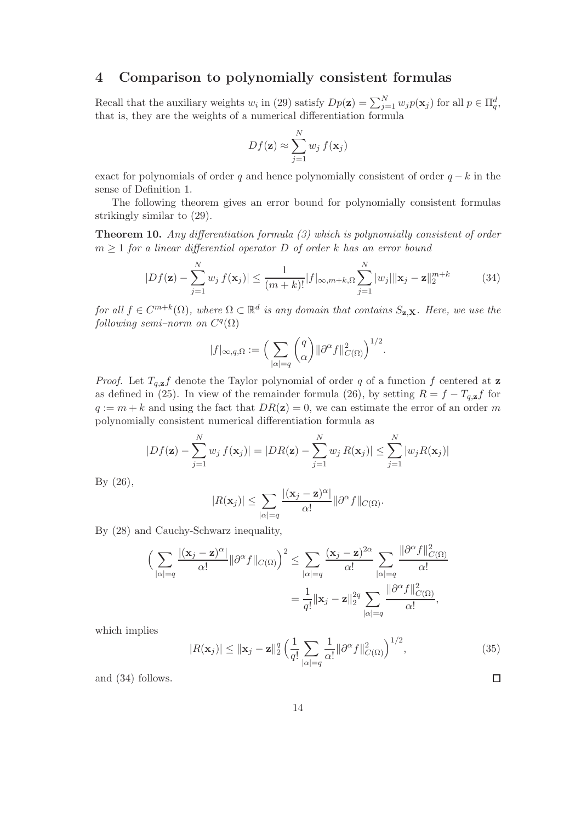### 4 Comparison to polynomially consistent formulas

Recall that the auxiliary weights  $w_i$  in (29) satisfy  $Dp(\mathbf{z}) = \sum_{j=1}^{N} w_j p(\mathbf{x}_j)$  for all  $p \in \Pi_q^d$ , that is, they are the weights of a numerical differentiation formula

$$
Df(\mathbf{z}) \approx \sum_{j=1}^{N} w_j f(\mathbf{x}_j)
$$

exact for polynomials of order q and hence polynomially consistent of order  $q - k$  in the sense of Definition 1.

The following theorem gives an error bound for polynomially consistent formulas strikingly similar to (29).

Theorem 10. Any differentiation formula (3) which is polynomially consistent of order  $m \geq 1$  for a linear differential operator D of order k has an error bound

$$
|Df(\mathbf{z}) - \sum_{j=1}^{N} w_j f(\mathbf{x}_j)| \le \frac{1}{(m+k)!} |f|_{\infty, m+k, \Omega} \sum_{j=1}^{N} |w_j| \|\mathbf{x}_j - \mathbf{z}\|_2^{m+k}
$$
(34)

for all  $f \in C^{m+k}(\Omega)$ , where  $\Omega \subset \mathbb{R}^d$  is any domain that contains  $S_{\mathbf{z},\mathbf{X}}$ . Here, we use the  $following\ semi-norm\ on\ C^q(\Omega)$ 

$$
|f|_{\infty,q,\Omega}:=\Big(\sum_{|\alpha|=q}\binom{q}{\alpha}\|\partial^{\alpha}f\|_{C(\Omega)}^2\Big)^{1/2}.
$$

*Proof.* Let  $T_{q,z}f$  denote the Taylor polynomial of order q of a function f centered at z as defined in (25). In view of the remainder formula (26), by setting  $R = f - T_{q,\mathbf{z}}f$  for  $q := m + k$  and using the fact that  $DR(z) = 0$ , we can estimate the error of an order m polynomially consistent numerical differentiation formula as

$$
|Df(\mathbf{z}) - \sum_{j=1}^{N} w_j f(\mathbf{x}_j)| = |DR(\mathbf{z}) - \sum_{j=1}^{N} w_j R(\mathbf{x}_j)| \le \sum_{j=1}^{N} |w_j R(\mathbf{x}_j)|
$$

By (26),

$$
|R(\mathbf{x}_j)| \leq \sum_{|\alpha|=q} \frac{|(\mathbf{x}_j - \mathbf{z})^{\alpha}|}{\alpha!} ||\partial^{\alpha} f||_{C(\Omega)}.
$$

By (28) and Cauchy-Schwarz inequality,

$$
\left(\sum_{|\alpha|=q} \frac{|(\mathbf{x}_j - \mathbf{z})^{\alpha}|}{\alpha!} ||\partial^{\alpha} f||_{C(\Omega)}\right)^2 \le \sum_{|\alpha|=q} \frac{(\mathbf{x}_j - \mathbf{z})^{2\alpha}}{\alpha!} \sum_{|\alpha|=q} \frac{||\partial^{\alpha} f||_{C(\Omega)}^2}{\alpha!}
$$

$$
= \frac{1}{q!} ||\mathbf{x}_j - \mathbf{z}||_2^{2q} \sum_{|\alpha|=q} \frac{||\partial^{\alpha} f||_{C(\Omega)}^2}{\alpha!},
$$

which implies

$$
|R(\mathbf{x}_j)| \le ||\mathbf{x}_j - \mathbf{z}||_2^q \left(\frac{1}{q!} \sum_{|\alpha|=q} \frac{1}{\alpha!} ||\partial^{\alpha} f||_{C(\Omega)}^2\right)^{1/2},\tag{35}
$$

and (34) follows.

 $\Box$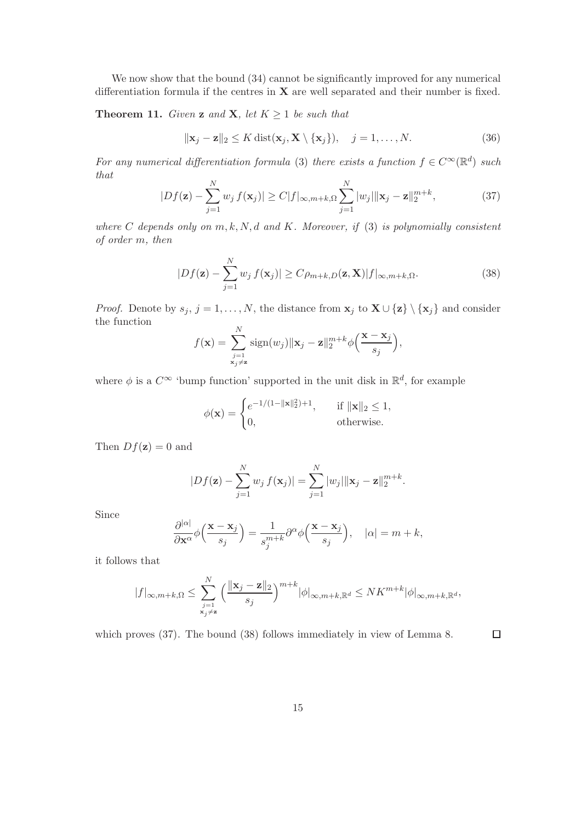We now show that the bound  $(34)$  cannot be significantly improved for any numerical differentiation formula if the centres in  $X$  are well separated and their number is fixed.

**Theorem 11.** Given **z** and **X**, let  $K \geq 1$  be such that

$$
\|\mathbf{x}_j - \mathbf{z}\|_2 \le K \operatorname{dist}(\mathbf{x}_j, \mathbf{X} \setminus \{\mathbf{x}_j\}), \quad j = 1, \dots, N. \tag{36}
$$

For any numerical differentiation formula (3) there exists a function  $f \in C^{\infty}(\mathbb{R}^d)$  such that

$$
|Df(\mathbf{z}) - \sum_{j=1}^{N} w_j f(\mathbf{x}_j)| \ge C|f|_{\infty, m+k, \Omega} \sum_{j=1}^{N} |w_j| \|\mathbf{x}_j - \mathbf{z}\|_2^{m+k}, \tag{37}
$$

where C depends only on  $m, k, N, d$  and K. Moreover, if (3) is polynomially consistent of order m, then

$$
|Df(\mathbf{z}) - \sum_{j=1}^{N} w_j f(\mathbf{x}_j)| \ge C\rho_{m+k,D}(\mathbf{z}, \mathbf{X}) |f|_{\infty, m+k,\Omega}.
$$
 (38)

*Proof.* Denote by  $s_j$ ,  $j = 1, ..., N$ , the distance from  $\mathbf{x}_j$  to  $\mathbf{X} \cup \{\mathbf{z}\} \setminus {\{\mathbf{x}_j\}}$  and consider the function  $\overline{N}$ 

$$
f(\mathbf{x}) = \sum_{\substack{j=1\\ \mathbf{x}_j \neq \mathbf{z}}}^N \text{sign}(w_j) \|\mathbf{x}_j - \mathbf{z}\|_2^{m+k} \phi\left(\frac{\mathbf{x} - \mathbf{x}_j}{s_j}\right),
$$

where  $\phi$  is a  $C^{\infty}$  'bump function' supported in the unit disk in  $\mathbb{R}^{d}$ , for example

$$
\phi(\mathbf{x}) = \begin{cases} e^{-1/(1 - ||\mathbf{x}||_2^2) + 1}, & \text{if } ||\mathbf{x}||_2 \le 1, \\ 0, & \text{otherwise.} \end{cases}
$$

Then  $Df(\mathbf{z})=0$  and

$$
|Df(\mathbf{z}) - \sum_{j=1}^{N} w_j f(\mathbf{x}_j)| = \sum_{j=1}^{N} |w_j| ||\mathbf{x}_j - \mathbf{z}||_2^{m+k}.
$$

Since

$$
\frac{\partial^{|\alpha|}}{\partial \mathbf{x}^{\alpha}} \phi\left(\frac{\mathbf{x} - \mathbf{x}_j}{s_j}\right) = \frac{1}{s_j^{m+k}} \partial^{\alpha} \phi\left(\frac{\mathbf{x} - \mathbf{x}_j}{s_j}\right), \quad |\alpha| = m+k,
$$

it follows that

$$
|f|_{\infty,m+k,\Omega} \leq \sum_{\substack{j=1 \ x_j \neq \mathbf{z}}}^N \left(\frac{\|\mathbf{x}_j - \mathbf{z}\|_2}{s_j}\right)^{m+k} |\phi|_{\infty,m+k,\mathbb{R}^d} \leq N K^{m+k} |\phi|_{\infty,m+k,\mathbb{R}^d},
$$

which proves (37). The bound (38) follows immediately in view of Lemma 8.

 $\Box$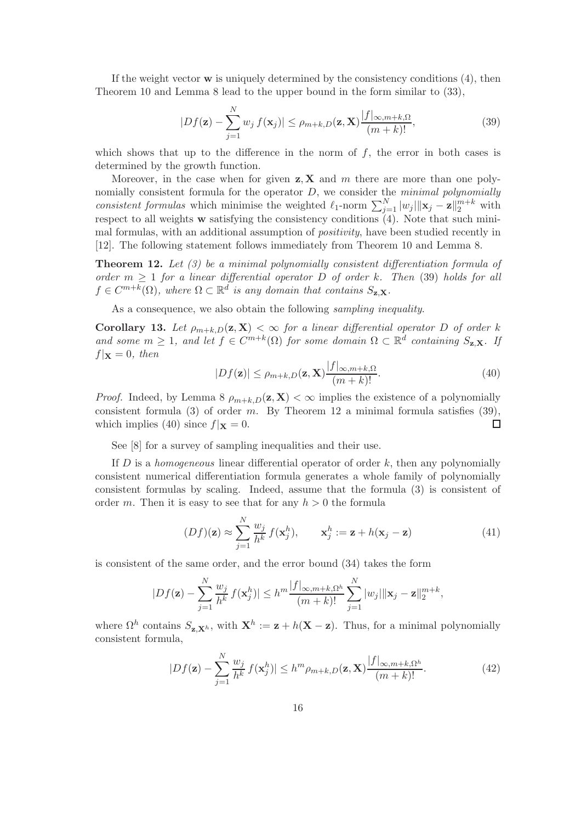If the weight vector  $\bf{w}$  is uniquely determined by the consistency conditions (4), then Theorem 10 and Lemma 8 lead to the upper bound in the form similar to (33),

$$
|Df(\mathbf{z}) - \sum_{j=1}^{N} w_j f(\mathbf{x}_j)| \le \rho_{m+k,D}(\mathbf{z}, \mathbf{X}) \frac{|f|_{\infty, m+k,\Omega}}{(m+k)!},
$$
\n(39)

which shows that up to the difference in the norm of  $f$ , the error in both cases is determined by the growth function.

Moreover, in the case when for given  $z, X$  and m there are more than one polynomially consistent formula for the operator  $D$ , we consider the *minimal polynomially* consistent formulas which minimise the weighted  $\ell_1$ -norm  $\sum_{j=1}^N |w_j| ||\mathbf{x}_j - \mathbf{z}||_2^{m+k}$  with respect to all weights  $w$  satisfying the consistency conditions  $(4)$ . Note that such minimal formulas, with an additional assumption of *positivity*, have been studied recently in [12]. The following statement follows immediately from Theorem 10 and Lemma 8.

**Theorem 12.** Let  $(3)$  be a minimal polynomially consistent differentiation formula of order  $m \geq 1$  for a linear differential operator D of order k. Then (39) holds for all  $f \in C^{m+k}(\Omega)$ , where  $\Omega \subset \mathbb{R}^d$  is any domain that contains  $S_{\mathbf{z},\mathbf{X}}$ .

As a consequence, we also obtain the following *sampling inequality*.

Corollary 13. Let  $\rho_{m+k,D}(\mathbf{z}, \mathbf{X}) < \infty$  for a linear differential operator D of order k and some  $m \geq 1$ , and let  $f \in C^{m+k}(\Omega)$  for some domain  $\Omega \subset \mathbb{R}^d$  containing  $S_{\mathbf{z},\mathbf{X}}$ . If  $f|\mathbf{x} = 0$ , then

$$
|Df(\mathbf{z})| \le \rho_{m+k,D}(\mathbf{z}, \mathbf{X}) \frac{|f|_{\infty, m+k,\Omega}}{(m+k)!}.
$$
\n(40)

*Proof.* Indeed, by Lemma 8  $\rho_{m+k,D}(\mathbf{z}, \mathbf{X}) < \infty$  implies the existence of a polynomially consistent formula (3) of order m. By Theorem 12 a minimal formula satisfies  $(39)$ , which implies (40) since  $f|\mathbf{x} = 0$ .  $\Box$ 

See [8] for a survey of sampling inequalities and their use.

If  $D$  is a *homogeneous* linear differential operator of order  $k$ , then any polynomially consistent numerical differentiation formula generates a whole family of polynomially consistent formulas by scaling. Indeed, assume that the formula (3) is consistent of order m. Then it is easy to see that for any  $h > 0$  the formula

$$
(Df)(\mathbf{z}) \approx \sum_{j=1}^{N} \frac{w_j}{h^k} f(\mathbf{x}_j^h), \qquad \mathbf{x}_j^h := \mathbf{z} + h(\mathbf{x}_j - \mathbf{z})
$$
(41)

is consistent of the same order, and the error bound (34) takes the form

$$
|Df(\mathbf{z}) - \sum_{j=1}^{N} \frac{w_j}{h^k} f(\mathbf{x}_j^h)| \le h^m \frac{|f|_{\infty, m+k, \Omega^h}}{(m+k)!} \sum_{j=1}^{N} |w_j| \|\mathbf{x}_j - \mathbf{z}\|_2^{m+k},
$$

where  $\Omega^h$  contains  $S_{\mathbf{z},\mathbf{X}^h}$ , with  $\mathbf{X}^h := \mathbf{z} + h(\mathbf{X} - \mathbf{z})$ . Thus, for a minimal polynomially consistent formula,

$$
|Df(\mathbf{z}) - \sum_{j=1}^{N} \frac{w_j}{h^k} f(\mathbf{x}_j^h)| \le h^m \rho_{m+k,D}(\mathbf{z}, \mathbf{X}) \frac{|f|_{\infty, m+k, \Omega^h}}{(m+k)!}.
$$
 (42)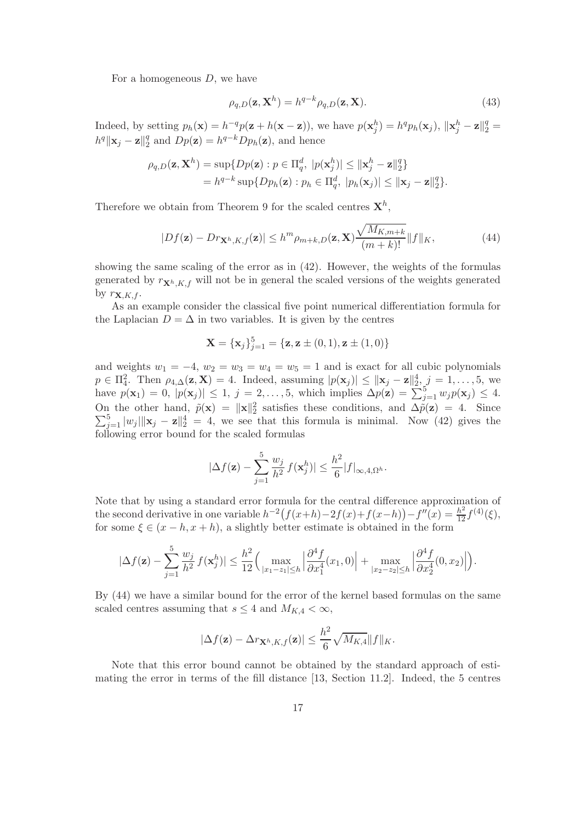For a homogeneous  $D$ , we have

$$
\rho_{q,D}(\mathbf{z}, \mathbf{X}^h) = h^{q-k} \rho_{q,D}(\mathbf{z}, \mathbf{X}). \tag{43}
$$

Indeed, by setting  $p_h(\mathbf{x}) = h^{-q}p(\mathbf{z} + h(\mathbf{x} - \mathbf{z}))$ , we have  $p(\mathbf{x}_j^h) = h^q p_h(\mathbf{x}_j)$ ,  $\|\mathbf{x}_j^h - \mathbf{z}\|_2^q =$  $h^q \|\mathbf{x}_j - \mathbf{z}\|_2^q$  $_{2}^{q}$  and  $Dp(\mathbf{z}) = h^{q-k}Dp_h(\mathbf{z})$ , and hence

$$
\rho_{q,D}(\mathbf{z}, \mathbf{X}^h) = \sup \{ Dp(\mathbf{z}) : p \in \Pi_q^d, \ |p(\mathbf{x}_j^h)| \le ||\mathbf{x}_j^h - \mathbf{z}||_2^q \}
$$
  
=  $h^{q-k} \sup \{ Dp_h(\mathbf{z}) : p_h \in \Pi_q^d, \ |p_h(\mathbf{x}_j)| \le ||\mathbf{x}_j - \mathbf{z}||_2^q \}.$ 

Therefore we obtain from Theorem 9 for the scaled centres  $\mathbf{X}^{h}$ ,

$$
|Df(\mathbf{z}) - Dr_{\mathbf{X}^h, K, f}(\mathbf{z})| \le h^m \rho_{m+k, D}(\mathbf{z}, \mathbf{X}) \frac{\sqrt{M_{K, m+k}}}{(m+k)!} ||f||_K,
$$
\n(44)

showing the same scaling of the error as in (42). However, the weights of the formulas generated by  $r_{\mathbf{X}^h,K,f}$  will not be in general the scaled versions of the weights generated by  $r_{\mathbf{X},K,f}$ .

As an example consider the classical five point numerical differentiation formula for the Laplacian  $D = \Delta$  in two variables. It is given by the centres

$$
\mathbf{X} = {\mathbf{x}_j}_{j=1}^5 = {\mathbf{z}, \mathbf{z} \pm (0,1), \mathbf{z} \pm (1,0)}
$$

and weights  $w_1 = -4$ ,  $w_2 = w_3 = w_4 = w_5 = 1$  and is exact for all cubic polynomials  $p \in \Pi_4^2$ . Then  $\rho_{4,\Delta}(\mathbf{z}, \mathbf{X}) = 4$ . Indeed, assuming  $|p(\mathbf{x}_j)| \le ||\mathbf{x}_j - \mathbf{z}||_2^4$ ,  $j = 1, \ldots, 5$ , we have  $p(\mathbf{x}_1) = 0$ ,  $|p(\mathbf{x}_j)| \leq 1$ ,  $j = 2, \ldots, 5$ , which implies  $\Delta p(\mathbf{z}) = \sum_{j=1}^5 w_j p(\mathbf{x}_j) \leq 4$ . On the other hand,  $\tilde{p}(\mathbf{x}) = ||\mathbf{x}||_2^2$  satisfies these conditions, and  $\Delta \tilde{p}(\mathbf{z}) = 4$ . Since  $\sum_{j=1}^{5} |w_j| \| \mathbf{x}_j - \mathbf{z} \|^4 = 4$ , we see that this formula is minimal. Now (42) gives the following error bound for the scaled formulas

$$
|\Delta f(\mathbf{z}) - \sum_{j=1}^5 \frac{w_j}{h^2} f(\mathbf{x}_j^h)| \leq \frac{h^2}{6} |f|_{\infty, 4, \Omega^h}.
$$

Note that by using a standard error formula for the central difference approximation of the second derivative in one variable  $h^{-2}(f(x+h)-2f(x)+f(x-h)) - f''(x) = \frac{h^2}{12}f^{(4)}(\xi),$ for some  $\xi \in (x - h, x + h)$ , a slightly better estimate is obtained in the form

$$
|\Delta f(\mathbf{z}) - \sum_{j=1}^5 \frac{w_j}{h^2} f(\mathbf{x}_j^h)| \le \frac{h^2}{12} \Big( \max_{|x_1 - z_1| \le h} \Big| \frac{\partial^4 f}{\partial x_1^4}(x_1, 0) \Big| + \max_{|x_2 - z_2| \le h} \Big| \frac{\partial^4 f}{\partial x_2^4}(0, x_2) \Big| \Big).
$$

By (44) we have a similar bound for the error of the kernel based formulas on the same scaled centres assuming that  $s \leq 4$  and  $M_{K,4} < \infty$ ,

$$
|\Delta f(\mathbf{z}) - \Delta r_{\mathbf{X}^h, K, f}(\mathbf{z})| \leq \frac{h^2}{6} \sqrt{M_{K, 4}} \|f\|_{K}.
$$

Note that this error bound cannot be obtained by the standard approach of estimating the error in terms of the fill distance [13, Section 11.2]. Indeed, the 5 centres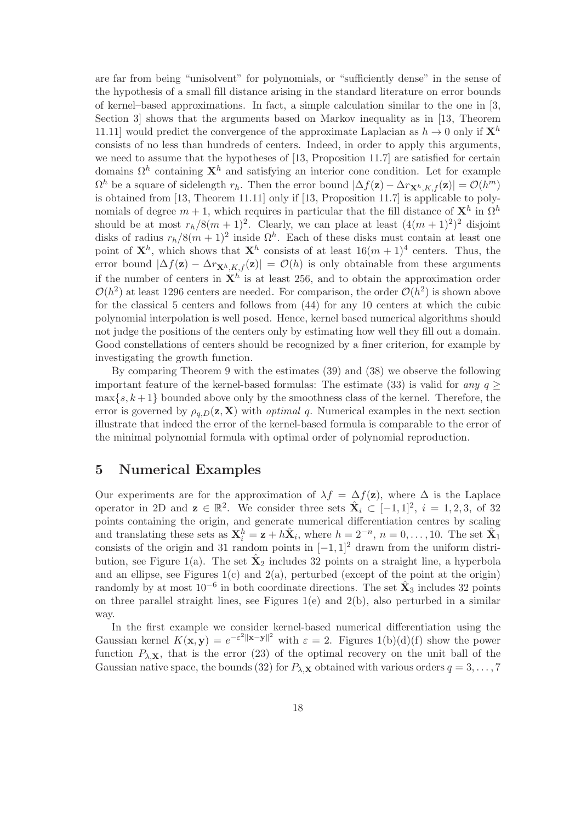are far from being "unisolvent" for polynomials, or "sufficiently dense" in the sense of the hypothesis of a small fill distance arising in the standard literature on error bounds of kernel–based approximations. In fact, a simple calculation similar to the one in [3, Section 3] shows that the arguments based on Markov inequality as in [13, Theorem 11.11] would predict the convergence of the approximate Laplacian as  $h \to 0$  only if  $\mathbf{X}^h$ consists of no less than hundreds of centers. Indeed, in order to apply this arguments, we need to assume that the hypotheses of [13, Proposition 11.7] are satisfied for certain domains  $\Omega^h$  containing  $\mathbf{X}^h$  and satisfying an interior cone condition. Let for example  $\Omega^h$  be a square of sidelength  $r_h$ . Then the error bound  $|\Delta f(\mathbf{z}) - \Delta r_{\mathbf{X}^h,K,f}(\mathbf{z})| = \mathcal{O}(h^m)$ is obtained from [13, Theorem 11.11] only if [13, Proposition 11.7] is applicable to polynomials of degree  $m+1$ , which requires in particular that the fill distance of  $\mathbf{X}^h$  in  $\Omega^h$ should be at most  $r_h/8(m+1)^2$ . Clearly, we can place at least  $(4(m+1)^2)^2$  disjoint disks of radius  $r_h/8(m+1)^2$  inside  $\Omega^h$ . Each of these disks must contain at least one point of  $\mathbf{X}^h$ , which shows that  $\mathbf{X}^h$  consists of at least  $16(m+1)^4$  centers. Thus, the error bound  $|\Delta f(\mathbf{z}) - \Delta r_{\mathbf{X}^h,K,f}(\mathbf{z})| = \mathcal{O}(h)$  is only obtainable from these arguments if the number of centers in  $\mathbf{X}^h$  is at least 256, and to obtain the approximation order  $\mathcal{O}(h^2)$  at least 1296 centers are needed. For comparison, the order  $\mathcal{O}(h^2)$  is shown above for the classical 5 centers and follows from (44) for any 10 centers at which the cubic polynomial interpolation is well posed. Hence, kernel based numerical algorithms should not judge the positions of the centers only by estimating how well they fill out a domain. Good constellations of centers should be recognized by a finer criterion, for example by investigating the growth function.

By comparing Theorem 9 with the estimates (39) and (38) we observe the following important feature of the kernel-based formulas: The estimate (33) is valid for any  $q >$  $\max\{s, k+1\}$  bounded above only by the smoothness class of the kernel. Therefore, the error is governed by  $\rho_{q,D}(\mathbf{z}, \mathbf{X})$  with *optimal q*. Numerical examples in the next section illustrate that indeed the error of the kernel-based formula is comparable to the error of the minimal polynomial formula with optimal order of polynomial reproduction.

#### 5 Numerical Examples

Our experiments are for the approximation of  $\lambda f = \Delta f(z)$ , where  $\Delta$  is the Laplace operator in 2D and  $z \in \mathbb{R}^2$ . We consider three sets  $\hat{X}_i \subset [-1,1]^2$ ,  $i = 1,2,3$ , of 32 points containing the origin, and generate numerical differentiation centres by scaling and translating these sets as  $\mathbf{X}_i^h = \mathbf{z} + h\hat{\mathbf{X}}_i$ , where  $h = 2^{-n}$ ,  $n = 0, \ldots, 10$ . The set  $\hat{\mathbf{X}}_1$ consists of the origin and 31 random points in  $[-1, 1]^2$  drawn from the uniform distribution, see Figure 1(a). The set  $\hat{\mathbf{X}}_2$  includes 32 points on a straight line, a hyperbola and an ellipse, see Figures  $1(c)$  and  $2(a)$ , perturbed (except of the point at the origin) randomly by at most  $10^{-6}$  in both coordinate directions. The set  $\hat{\mathbf{X}}_3$  includes 32 points on three parallel straight lines, see Figures 1(e) and 2(b), also perturbed in a similar way.

In the first example we consider kernel-based numerical differentiation using the Gaussian kernel  $K(\mathbf{x}, \mathbf{y}) = e^{-\varepsilon^2 ||\mathbf{x} - \mathbf{y}||^2}$  with  $\varepsilon = 2$ . Figures 1(b)(d)(f) show the power function  $P_{\lambda,\mathbf{X}}$ , that is the error (23) of the optimal recovery on the unit ball of the Gaussian native space, the bounds (32) for  $P_{\lambda,\mathbf{X}}$  obtained with various orders  $q=3,\ldots,7$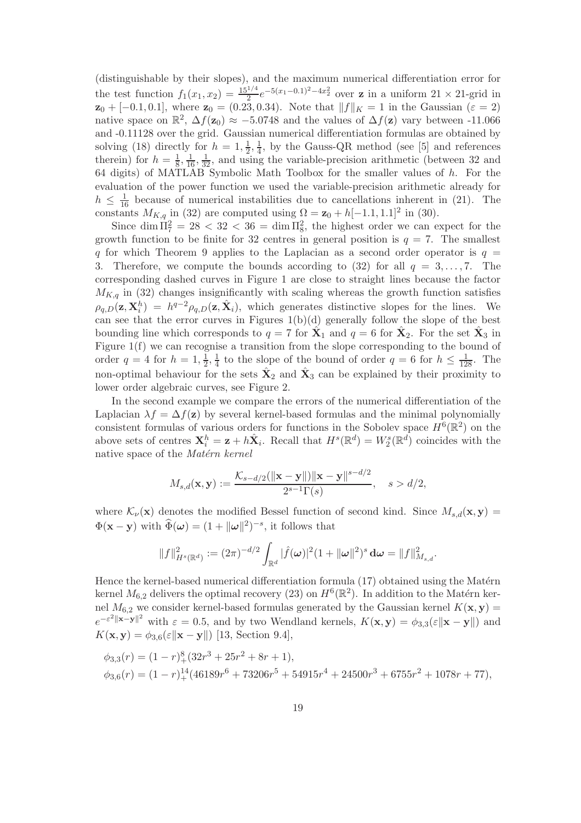(distinguishable by their slopes), and the maximum numerical differentiation error for the test function  $f_1(x_1, x_2) = \frac{15^{1/4}}{2} e^{-5(x_1 - 0.1)^2 - 4x_2^2}$  over **z** in a uniform  $21 \times 21$ -grid in  $z_0 + [-0.1, 0.1]$ , where  $z_0 = (0.23, 0.34)$ . Note that  $||f||_K = 1$  in the Gaussian  $(\varepsilon = 2)$ native space on  $\mathbb{R}^2$ ,  $\Delta f(\mathbf{z}_0) \approx -5.0748$  and the values of  $\Delta f(\mathbf{z})$  vary between -11.066 and -0.11128 over the grid. Gaussian numerical differentiation formulas are obtained by solving (18) directly for  $h = 1, \frac{1}{2}$  $\frac{1}{2}, \frac{1}{4}$  $\frac{1}{4}$ , by the Gauss-QR method (see [5] and references therein) for  $h=\frac{1}{8}$  $\frac{1}{8}$ ,  $\frac{1}{16}$ ,  $\frac{1}{32}$ , and using the variable-precision arithmetic (between 32 and 64 digits) of MATLAB Symbolic Math Toolbox for the smaller values of h. For the evaluation of the power function we used the variable-precision arithmetic already for  $h \leq \frac{1}{16}$  because of numerical instabilities due to cancellations inherent in (21). The constants  $M_{K,q}$  in (32) are computed using  $\Omega = \mathbf{z}_0 + h[-1.1, 1.1]^2$  in (30).

Since  $\dim \Pi_7^2 = 28 < 32 < 36 = \dim \Pi_8^2$ , the highest order we can expect for the growth function to be finite for 32 centres in general position is  $q = 7$ . The smallest q for which Theorem 9 applies to the Laplacian as a second order operator is  $q =$ 3. Therefore, we compute the bounds according to (32) for all  $q = 3, \ldots, 7$ . The corresponding dashed curves in Figure 1 are close to straight lines because the factor  $M_{K,q}$  in (32) changes insignificantly with scaling whereas the growth function satisfies  $\rho_{q,D}(\mathbf{z}, \mathbf{X}_i^h) = h^{q-2} \rho_{q,D}(\mathbf{z}, \hat{\mathbf{X}}_i)$ , which generates distinctive slopes for the lines. We can see that the error curves in Figures  $1(b)(d)$  generally follow the slope of the best bounding line which corresponds to  $q = 7$  for  $\hat{\mathbf{X}}_1$  and  $q = 6$  for  $\hat{\mathbf{X}}_2$ . For the set  $\hat{\mathbf{X}}_3$  in Figure 1(f) we can recognise a transition from the slope corresponding to the bound of order  $q=4$  for  $h=1,\frac{1}{2}$  $\frac{1}{2}, \frac{1}{4}$  $\frac{1}{4}$  to the slope of the bound of order  $q = 6$  for  $h \leq \frac{1}{128}$ . The non-optimal behaviour for the sets  $\hat{\mathbf{X}}_2$  and  $\hat{\mathbf{X}}_3$  can be explained by their proximity to lower order algebraic curves, see Figure 2.

In the second example we compare the errors of the numerical differentiation of the Laplacian  $\lambda f = \Delta f(\mathbf{z})$  by several kernel-based formulas and the minimal polynomially consistent formulas of various orders for functions in the Sobolev space  $H^{6}(\mathbb{R}^{2})$  on the above sets of centres  $\mathbf{X}_i^h = \mathbf{z} + h\hat{\mathbf{X}}_i$ . Recall that  $H^s(\mathbb{R}^d) = W^s_2(\mathbb{R}^d)$  coincides with the native space of the Matérn kernel

$$
M_{s,d}(\mathbf{x}, \mathbf{y}) := \frac{\mathcal{K}_{s-d/2}(\|\mathbf{x} - \mathbf{y}\|) \|\mathbf{x} - \mathbf{y}\|^{s-d/2}}{2^{s-1} \Gamma(s)}, \quad s > d/2,
$$

where  $\mathcal{K}_{\nu}(\mathbf{x})$  denotes the modified Bessel function of second kind. Since  $M_{s,d}(\mathbf{x}, \mathbf{y}) =$  $\Phi(\mathbf{x} - \mathbf{y})$  with  $\widehat{\Phi}(\boldsymbol{\omega}) = (1 + ||\boldsymbol{\omega}||^2)^{-s}$ , it follows that

$$
||f||_{H^s(\mathbb{R}^d)}^2 := (2\pi)^{-d/2} \int_{\mathbb{R}^d} |\hat{f}(\boldsymbol{\omega})|^2 (1 + ||\boldsymbol{\omega}||^2)^s \, \mathrm{d}\boldsymbol{\omega} = ||f||_{M_{s,d}}^2.
$$

Hence the kernel-based numerical differentiation formula  $(17)$  obtained using the Matérn kernel  $M_{6,2}$  delivers the optimal recovery (23) on  $H^{6}(\mathbb{R}^{2})$ . In addition to the Matérn kernel  $M_{6,2}$  we consider kernel-based formulas generated by the Gaussian kernel  $K(\mathbf{x}, \mathbf{y}) =$  $e^{-\varepsilon^2 \|\mathbf{x}-\mathbf{y}\|^2}$  with  $\varepsilon = 0.5$ , and by two Wendland kernels,  $K(\mathbf{x}, \mathbf{y}) = \phi_{3,3}(\varepsilon \|\mathbf{x}-\mathbf{y}\|)$  and  $K(\mathbf{x}, \mathbf{y}) = \phi_{3,6}(\varepsilon \|\mathbf{x} - \mathbf{y}\|)$  [13, Section 9.4],

$$
\phi_{3,3}(r) = (1 - r)^8 + (32r^3 + 25r^2 + 8r + 1),
$$
  
\n
$$
\phi_{3,6}(r) = (1 - r)^{14} + (46189r^6 + 73206r^5 + 54915r^4 + 24500r^3 + 6755r^2 + 1078r + 77),
$$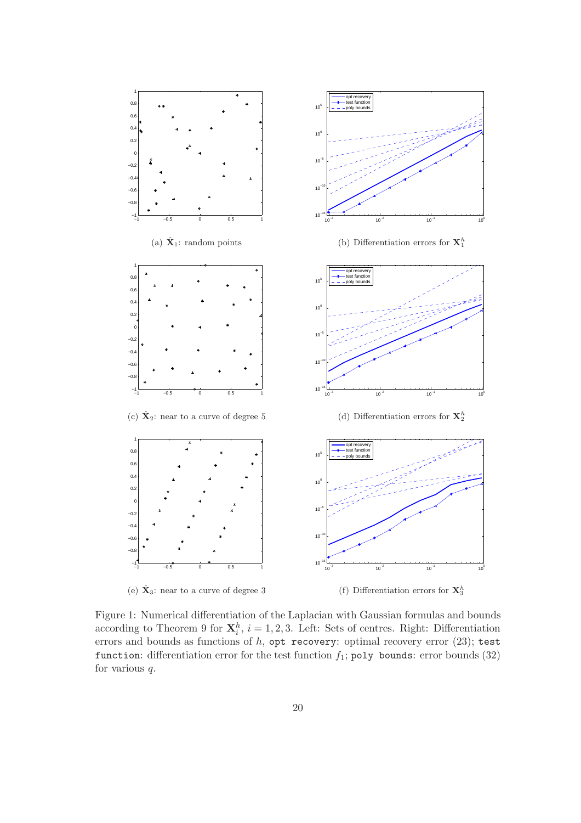

Figure 1: Numerical differentiation of the Laplacian with Gaussian formulas and bounds according to Theorem 9 for  $\mathbf{X}_i^h$ ,  $i = 1, 2, 3$ . Left: Sets of centres. Right: Differentiation errors and bounds as functions of h, opt recovery: optimal recovery error (23); test function: differentiation error for the test function  $f_1$ ; poly bounds: error bounds (32) for various q.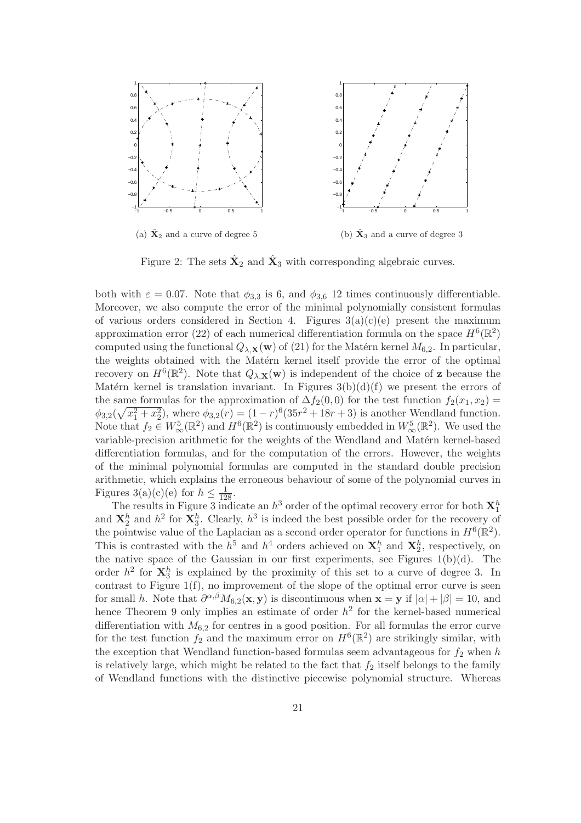

Figure 2: The sets  $\hat{\mathbf{X}}_2$  and  $\hat{\mathbf{X}}_3$  with corresponding algebraic curves.

both with  $\varepsilon = 0.07$ . Note that  $\phi_{3,3}$  is 6, and  $\phi_{3,6}$  12 times continuously differentiable. Moreover, we also compute the error of the minimal polynomially consistent formulas of various orders considered in Section 4. Figures  $3(a)(c)(e)$  present the maximum approximation error (22) of each numerical differentiation formula on the space  $H^6(\mathbb{R}^2)$ computed using the functional  $Q_{\lambda,\mathbf{X}}(\mathbf{w})$  of (21) for the Matérn kernel  $M_{6,2}$ . In particular, the weights obtained with the Matérn kernel itself provide the error of the optimal recovery on  $H^6(\mathbb{R}^2)$ . Note that  $Q_{\lambda,\mathbf{X}}(\mathbf{w})$  is independent of the choice of **z** because the Matérn kernel is translation invariant. In Figures  $3(b)(d)(f)$  we present the errors of the same formulas for the approximation of  $\Delta f_2(0,0)$  for the test function  $f_2(x_1, x_2)$  =  $\phi_{3,2}(\sqrt{x_1^2 + x_2^2})$ , where  $\phi_{3,2}(r) = (1 - r)^6 (35r^2 + 18r + 3)$  is another Wendland function. Note that  $f_2 \in W^5_\infty(\mathbb{R}^2)$  and  $H^6(\mathbb{R}^2)$  is continuously embedded in  $W^5_\infty(\mathbb{R}^2)$ . We used the variable-precision arithmetic for the weights of the Wendland and Matérn kernel-based differentiation formulas, and for the computation of the errors. However, the weights of the minimal polynomial formulas are computed in the standard double precision arithmetic, which explains the erroneous behaviour of some of the polynomial curves in Figures 3(a)(c)(e) for  $h \leq \frac{1}{128}$ .

The results in Figure 3 indicate an  $h^3$  order of the optimal recovery error for both  $\mathbf{X}_1^h$ and  $\mathbf{X}_2^h$  and  $h^2$  for  $\mathbf{X}_3^h$ . Clearly,  $h^3$  is indeed the best possible order for the recovery of the pointwise value of the Laplacian as a second order operator for functions in  $H^{6}(\mathbb{R}^{2})$ . This is contrasted with the  $h^5$  and  $h^4$  orders achieved on  $\mathbf{X}_1^h$  and  $\mathbf{X}_2^h$ , respectively, on the native space of the Gaussian in our first experiments, see Figures  $1(b)(d)$ . The order  $h^2$  for  $\mathbf{X}_3^h$  is explained by the proximity of this set to a curve of degree 3. In contrast to Figure 1(f), no improvement of the slope of the optimal error curve is seen for small h. Note that  $\partial^{\alpha,\beta} M_{6,2}(\mathbf{x}, \mathbf{y})$  is discontinuous when  $\mathbf{x} = \mathbf{y}$  if  $|\alpha| + |\beta| = 10$ , and hence Theorem 9 only implies an estimate of order  $h^2$  for the kernel-based numerical differentiation with  $M_{6,2}$  for centres in a good position. For all formulas the error curve for the test function  $f_2$  and the maximum error on  $H^6(\mathbb{R}^2)$  are strikingly similar, with the exception that Wendland function-based formulas seem advantageous for  $f_2$  when h is relatively large, which might be related to the fact that  $f_2$  itself belongs to the family of Wendland functions with the distinctive piecewise polynomial structure. Whereas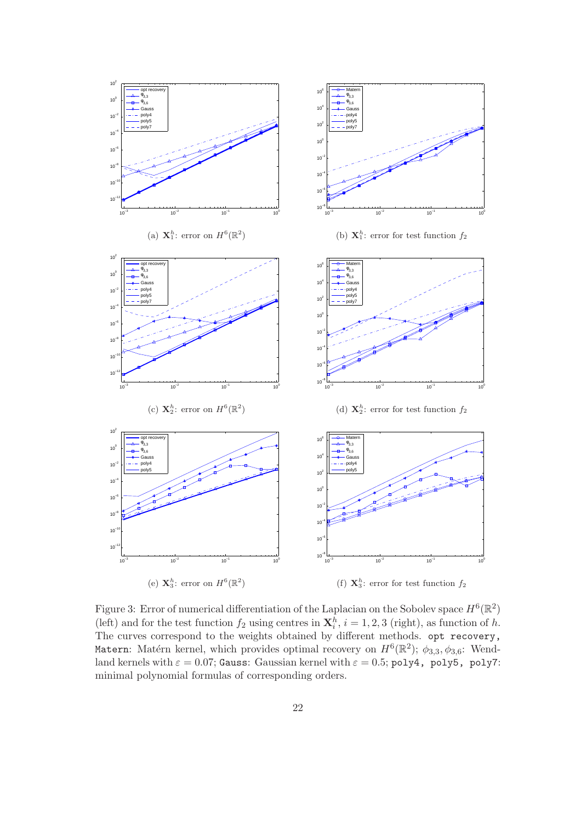

Figure 3: Error of numerical differentiation of the Laplacian on the Sobolev space  $H^6(\mathbb{R}^2)$ (left) and for the test function  $f_2$  using centres in  $\mathbf{X}_i^h$ ,  $i = 1, 2, 3$  (right), as function of h. The curves correspond to the weights obtained by different methods. opt recovery, Matern: Matérn kernel, which provides optimal recovery on  $H^6(\mathbb{R}^2)$ ;  $\phi_{3,3}, \phi_{3,6}$ : Wendland kernels with  $\varepsilon = 0.07$ ; Gauss: Gaussian kernel with  $\varepsilon = 0.5$ ; poly4, poly5, poly7: minimal polynomial formulas of corresponding orders.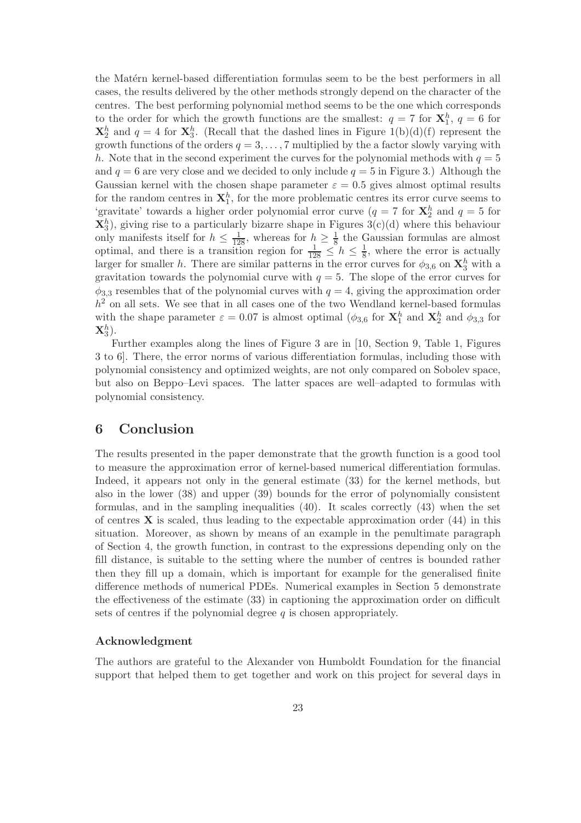the Matérn kernel-based differentiation formulas seem to be the best performers in all cases, the results delivered by the other methods strongly depend on the character of the centres. The best performing polynomial method seems to be the one which corresponds to the order for which the growth functions are the smallest:  $q = 7$  for  $\mathbf{X}_1^h$ ,  $q = 6$  for  $\mathbf{X}_2^h$  and  $q = 4$  for  $\mathbf{X}_3^h$ . (Recall that the dashed lines in Figure 1(b)(d)(f) represent the growth functions of the orders  $q = 3, \ldots, 7$  multiplied by the a factor slowly varying with h. Note that in the second experiment the curves for the polynomial methods with  $q = 5$ and  $q = 6$  are very close and we decided to only include  $q = 5$  in Figure 3.) Although the Gaussian kernel with the chosen shape parameter  $\varepsilon = 0.5$  gives almost optimal results for the random centres in  $\mathbf{X}_1^h$ , for the more problematic centres its error curve seems to 'gravitate' towards a higher order polynomial error curve ( $q = 7$  for  $\mathbf{X}_2^h$  and  $q = 5$  for  $\mathbf{X}_3^h$ , giving rise to a particularly bizarre shape in Figures 3(c)(d) where this behaviour  $\Lambda_3$ ), giving rise to a particularly bizarre shape in Figures  $J(t)(u)$  where this behaviour only manifests itself for  $h \leq \frac{1}{128}$ , whereas for  $h \geq \frac{1}{8}$  the Gaussian formulas are almost optimal, and there is a transition region for  $\frac{1}{128} \le h \le \frac{1}{8}$  $\frac{1}{8}$ , where the error is actually larger for smaller h. There are similar patterns in the error curves for  $\phi_{3,6}$  on  $\mathbf{X}_3^h$  with a gravitation towards the polynomial curve with  $q = 5$ . The slope of the error curves for  $\phi_{3,3}$  resembles that of the polynomial curves with  $q = 4$ , giving the approximation order  $h<sup>2</sup>$  on all sets. We see that in all cases one of the two Wendland kernel-based formulas with the shape parameter  $\varepsilon = 0.07$  is almost optimal ( $\phi_{3,6}$  for  $\mathbf{X}_1^h$  and  $\mathbf{X}_2^h$  and  $\phi_{3,3}$  for  $\mathbf{X}_3^h).$ 

Further examples along the lines of Figure 3 are in [10, Section 9, Table 1, Figures 3 to 6]. There, the error norms of various differentiation formulas, including those with polynomial consistency and optimized weights, are not only compared on Sobolev space, but also on Beppo–Levi spaces. The latter spaces are well–adapted to formulas with polynomial consistency.

## 6 Conclusion

The results presented in the paper demonstrate that the growth function is a good tool to measure the approximation error of kernel-based numerical differentiation formulas. Indeed, it appears not only in the general estimate (33) for the kernel methods, but also in the lower (38) and upper (39) bounds for the error of polynomially consistent formulas, and in the sampling inequalities (40). It scales correctly (43) when the set of centres  $X$  is scaled, thus leading to the expectable approximation order  $(44)$  in this situation. Moreover, as shown by means of an example in the penultimate paragraph of Section 4, the growth function, in contrast to the expressions depending only on the fill distance, is suitable to the setting where the number of centres is bounded rather then they fill up a domain, which is important for example for the generalised finite difference methods of numerical PDEs. Numerical examples in Section 5 demonstrate the effectiveness of the estimate (33) in captioning the approximation order on difficult sets of centres if the polynomial degree  $q$  is chosen appropriately.

#### Acknowledgment

The authors are grateful to the Alexander von Humboldt Foundation for the financial support that helped them to get together and work on this project for several days in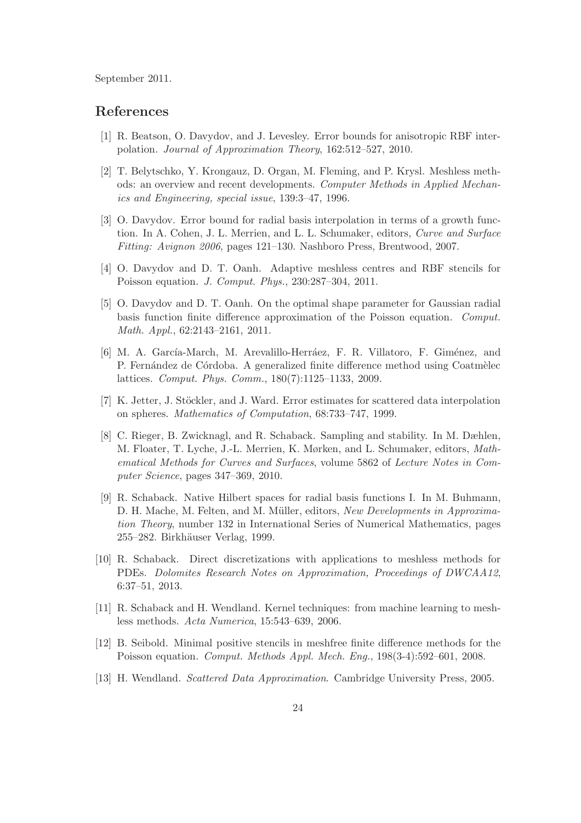September 2011.

#### References

- [1] R. Beatson, O. Davydov, and J. Levesley. Error bounds for anisotropic RBF interpolation. Journal of Approximation Theory, 162:512–527, 2010.
- [2] T. Belytschko, Y. Krongauz, D. Organ, M. Fleming, and P. Krysl. Meshless methods: an overview and recent developments. Computer Methods in Applied Mechanics and Engineering, special issue, 139:3–47, 1996.
- [3] O. Davydov. Error bound for radial basis interpolation in terms of a growth function. In A. Cohen, J. L. Merrien, and L. L. Schumaker, editors, Curve and Surface Fitting: Avignon 2006, pages 121–130. Nashboro Press, Brentwood, 2007.
- [4] O. Davydov and D. T. Oanh. Adaptive meshless centres and RBF stencils for Poisson equation. J. Comput. Phys., 230:287–304, 2011.
- [5] O. Davydov and D. T. Oanh. On the optimal shape parameter for Gaussian radial basis function finite difference approximation of the Poisson equation. Comput. Math. Appl., 62:2143–2161, 2011.
- [6] M. A. García-March, M. Arevalillo-Herráez, F. R. Villatoro, F. Giménez, and P. Fernández de Córdoba. A generalized finite difference method using Coatmèlec lattices. Comput. Phys. Comm., 180(7):1125–1133, 2009.
- [7] K. Jetter, J. Stöckler, and J. Ward. Error estimates for scattered data interpolation on spheres. Mathematics of Computation, 68:733–747, 1999.
- [8] C. Rieger, B. Zwicknagl, and R. Schaback. Sampling and stability. In M. Dæhlen, M. Floater, T. Lyche, J.-L. Merrien, K. Mørken, and L. Schumaker, editors, Mathematical Methods for Curves and Surfaces, volume 5862 of Lecture Notes in Computer Science, pages 347–369, 2010.
- [9] R. Schaback. Native Hilbert spaces for radial basis functions I. In M. Buhmann, D. H. Mache, M. Felten, and M. Müller, editors, New Developments in Approximation Theory, number 132 in International Series of Numerical Mathematics, pages 255–282. Birkhäuser Verlag, 1999.
- [10] R. Schaback. Direct discretizations with applications to meshless methods for PDEs. Dolomites Research Notes on Approximation, Proceedings of DWCAA12, 6:37–51, 2013.
- [11] R. Schaback and H. Wendland. Kernel techniques: from machine learning to meshless methods. Acta Numerica, 15:543–639, 2006.
- [12] B. Seibold. Minimal positive stencils in meshfree finite difference methods for the Poisson equation. Comput. Methods Appl. Mech. Eng., 198(3-4):592–601, 2008.
- [13] H. Wendland. Scattered Data Approximation. Cambridge University Press, 2005.